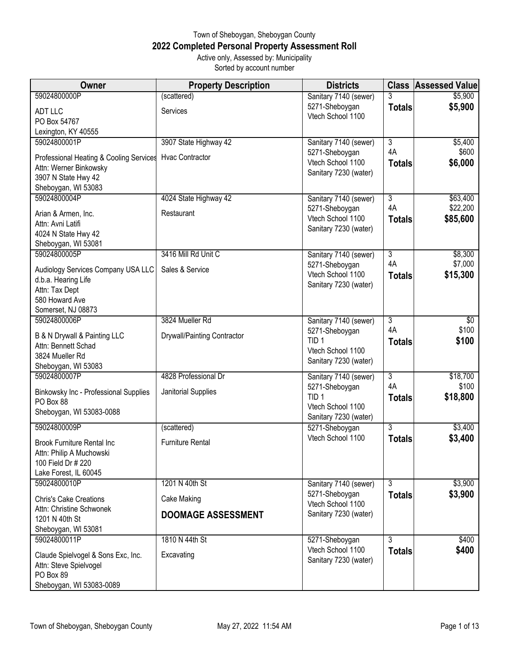## Town of Sheboygan, Sheboygan County **2022 Completed Personal Property Assessment Roll** Active only, Assessed by: Municipality

Sorted by account number

| Owner                                                        | <b>Property Description</b> | <b>Districts</b>                      |                | <b>Class Assessed Value</b> |
|--------------------------------------------------------------|-----------------------------|---------------------------------------|----------------|-----------------------------|
| 59024800000P                                                 | (scattered)                 | Sanitary 7140 (sewer)                 |                | \$5,900                     |
| <b>ADT LLC</b>                                               | Services                    | 5271-Sheboygan                        | <b>Totals</b>  | \$5,900                     |
| PO Box 54767                                                 |                             | Vtech School 1100                     |                |                             |
| Lexington, KY 40555                                          |                             |                                       |                |                             |
| 59024800001P                                                 | 3907 State Highway 42       | Sanitary 7140 (sewer)                 | $\overline{3}$ | \$5,400                     |
| Professional Heating & Cooling Services                      | <b>Hvac Contractor</b>      | 5271-Sheboygan                        | 4A             | \$600                       |
| Attn: Werner Binkowsky                                       |                             | Vtech School 1100                     | <b>Totals</b>  | \$6,000                     |
| 3907 N State Hwy 42                                          |                             | Sanitary 7230 (water)                 |                |                             |
| Sheboygan, WI 53083                                          |                             |                                       |                |                             |
| 59024800004P                                                 | 4024 State Highway 42       | Sanitary 7140 (sewer)                 | $\overline{3}$ | \$63,400                    |
| Arian & Armen, Inc.                                          | Restaurant                  | 5271-Sheboygan                        | 4A             | \$22,200                    |
| Attn: Avni Latifi                                            |                             | Vtech School 1100                     | <b>Totals</b>  | \$85,600                    |
| 4024 N State Hwy 42                                          |                             | Sanitary 7230 (water)                 |                |                             |
| Sheboygan, WI 53081                                          |                             |                                       |                |                             |
| 59024800005P                                                 | 3416 Mill Rd Unit C         | Sanitary 7140 (sewer)                 | $\overline{3}$ | \$8,300                     |
| Audiology Services Company USA LLC                           | Sales & Service             | 5271-Sheboygan                        | 4A             | \$7,000                     |
| d.b.a. Hearing Life                                          |                             | Vtech School 1100                     | <b>Totals</b>  | \$15,300                    |
| Attn: Tax Dept                                               |                             | Sanitary 7230 (water)                 |                |                             |
| 580 Howard Ave                                               |                             |                                       |                |                             |
| Somerset, NJ 08873                                           |                             |                                       |                |                             |
| 59024800006P                                                 | 3824 Mueller Rd             | Sanitary 7140 (sewer)                 | $\overline{3}$ | $\sqrt[6]{}$                |
| B & N Drywall & Painting LLC                                 | Drywall/Painting Contractor | 5271-Sheboygan                        | 4A             | \$100                       |
| Attn: Bennett Schad                                          |                             | TID <sub>1</sub><br>Vtech School 1100 | <b>Totals</b>  | \$100                       |
| 3824 Mueller Rd                                              |                             | Sanitary 7230 (water)                 |                |                             |
| Sheboygan, WI 53083                                          |                             |                                       |                |                             |
| 59024800007P                                                 | 4828 Professional Dr        | Sanitary 7140 (sewer)                 | $\overline{3}$ | \$18,700                    |
| Binkowsky Inc - Professional Supplies                        | Janitorial Supplies         | 5271-Sheboygan                        | 4A             | \$100                       |
| PO Box 88                                                    |                             | TID <sub>1</sub><br>Vtech School 1100 | <b>Totals</b>  | \$18,800                    |
| Sheboygan, WI 53083-0088                                     |                             | Sanitary 7230 (water)                 |                |                             |
| 59024800009P                                                 | (scattered)                 | 5271-Sheboygan                        | 3              | \$3,400                     |
|                                                              |                             | Vtech School 1100                     | <b>Totals</b>  | \$3,400                     |
| <b>Brook Furniture Rental Inc</b>                            | Furniture Rental            |                                       |                |                             |
| Attn: Philip A Muchowski<br>100 Field Dr # 220               |                             |                                       |                |                             |
| Lake Forest, IL 60045                                        |                             |                                       |                |                             |
| 59024800010P                                                 | 1201 N 40th St              | Sanitary 7140 (sewer)                 | 3              | \$3,900                     |
|                                                              |                             | 5271-Sheboygan                        | <b>Totals</b>  | \$3,900                     |
| <b>Chris's Cake Creations</b><br>Attn: Christine Schwonek    | Cake Making                 | Vtech School 1100                     |                |                             |
| 1201 N 40th St                                               | <b>DOOMAGE ASSESSMENT</b>   | Sanitary 7230 (water)                 |                |                             |
| Sheboygan, WI 53081                                          |                             |                                       |                |                             |
| 59024800011P                                                 | 1810 N 44th St              | 5271-Sheboygan                        | $\overline{3}$ | \$400                       |
|                                                              |                             | Vtech School 1100                     | <b>Totals</b>  | \$400                       |
| Claude Spielvogel & Sons Exc, Inc.<br>Attn: Steve Spielvogel | Excavating                  | Sanitary 7230 (water)                 |                |                             |
| PO Box 89                                                    |                             |                                       |                |                             |
| Sheboygan, WI 53083-0089                                     |                             |                                       |                |                             |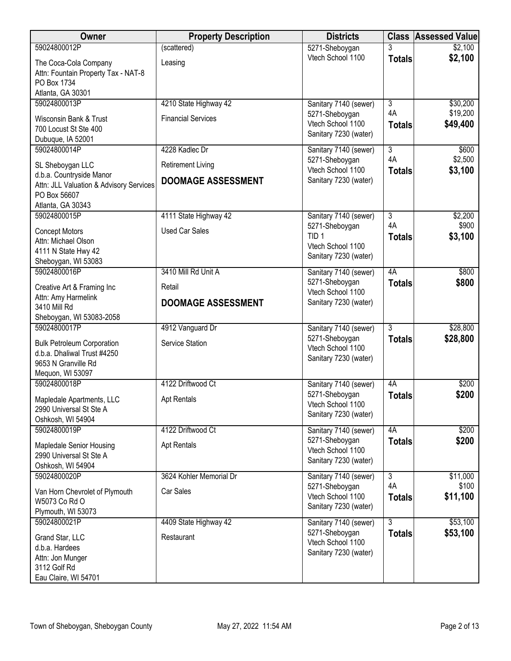| Owner                                        | <b>Property Description</b> | <b>Districts</b>      | <b>Class</b>   | <b>Assessed Value</b> |
|----------------------------------------------|-----------------------------|-----------------------|----------------|-----------------------|
| 59024800012P                                 | (scattered)                 | 5271-Sheboygan        |                | \$2,100               |
| The Coca-Cola Company                        | Leasing                     | Vtech School 1100     | <b>Totals</b>  | \$2,100               |
| Attn: Fountain Property Tax - NAT-8          |                             |                       |                |                       |
| PO Box 1734                                  |                             |                       |                |                       |
| Atlanta, GA 30301                            |                             |                       |                |                       |
| 59024800013P                                 | 4210 State Highway 42       | Sanitary 7140 (sewer) | $\overline{3}$ | \$30,200              |
| Wisconsin Bank & Trust                       | <b>Financial Services</b>   | 5271-Sheboygan        | 4A             | \$19,200              |
| 700 Locust St Ste 400                        |                             | Vtech School 1100     | <b>Totals</b>  | \$49,400              |
| Dubuque, IA 52001                            |                             | Sanitary 7230 (water) |                |                       |
| 59024800014P                                 | 4228 Kadlec Dr              | Sanitary 7140 (sewer) | $\overline{3}$ | \$600                 |
|                                              |                             | 5271-Sheboygan        | 4A             | \$2,500               |
| SL Sheboygan LLC<br>d.b.a. Countryside Manor | <b>Retirement Living</b>    | Vtech School 1100     | <b>Totals</b>  | \$3,100               |
| Attn: JLL Valuation & Advisory Services      | <b>DOOMAGE ASSESSMENT</b>   | Sanitary 7230 (water) |                |                       |
| PO Box 56607                                 |                             |                       |                |                       |
| Atlanta, GA 30343                            |                             |                       |                |                       |
| 59024800015P                                 | 4111 State Highway 42       | Sanitary 7140 (sewer) | $\overline{3}$ | \$2,200               |
| <b>Concept Motors</b>                        | <b>Used Car Sales</b>       | 5271-Sheboygan        | 4A             | \$900                 |
| Attn: Michael Olson                          |                             | TID <sub>1</sub>      | <b>Totals</b>  | \$3,100               |
| 4111 N State Hwy 42                          |                             | Vtech School 1100     |                |                       |
| Sheboygan, WI 53083                          |                             | Sanitary 7230 (water) |                |                       |
| 59024800016P                                 | 3410 Mill Rd Unit A         | Sanitary 7140 (sewer) | 4A             | \$800                 |
| Creative Art & Framing Inc                   | Retail                      | 5271-Sheboygan        | <b>Totals</b>  | \$800                 |
| Attn: Amy Harmelink                          |                             | Vtech School 1100     |                |                       |
| 3410 Mill Rd                                 | <b>DOOMAGE ASSESSMENT</b>   | Sanitary 7230 (water) |                |                       |
| Sheboygan, WI 53083-2058                     |                             |                       |                |                       |
| 59024800017P                                 | 4912 Vanguard Dr            | Sanitary 7140 (sewer) | $\overline{3}$ | \$28,800              |
| <b>Bulk Petroleum Corporation</b>            | Service Station             | 5271-Sheboygan        | <b>Totals</b>  | \$28,800              |
| d.b.a. Dhaliwal Trust #4250                  |                             | Vtech School 1100     |                |                       |
| 9653 N Granville Rd                          |                             | Sanitary 7230 (water) |                |                       |
| Mequon, WI 53097                             |                             |                       |                |                       |
| 59024800018P                                 | 4122 Driftwood Ct           | Sanitary 7140 (sewer) | 4A             | \$200                 |
| Mapledale Apartments, LLC                    | <b>Apt Rentals</b>          | 5271-Sheboygan        | <b>Totals</b>  | \$200                 |
| 2990 Universal St Ste A                      |                             | Vtech School 1100     |                |                       |
| Oshkosh, WI 54904                            |                             | Sanitary 7230 (water) |                |                       |
| 59024800019P                                 | 4122 Driftwood Ct           | Sanitary 7140 (sewer) | 4A             | \$200                 |
| Mapledale Senior Housing                     | <b>Apt Rentals</b>          | 5271-Sheboygan        | <b>Totals</b>  | \$200                 |
| 2990 Universal St Ste A                      |                             | Vtech School 1100     |                |                       |
| Oshkosh, WI 54904                            |                             | Sanitary 7230 (water) |                |                       |
| 59024800020P                                 | 3624 Kohler Memorial Dr     | Sanitary 7140 (sewer) | $\overline{3}$ | \$11,000              |
| Van Horn Chevrolet of Plymouth               | Car Sales                   | 5271-Sheboygan        | 4A             | \$100                 |
| W5073 Co Rd O                                |                             | Vtech School 1100     | <b>Totals</b>  | \$11,100              |
| Plymouth, WI 53073                           |                             | Sanitary 7230 (water) |                |                       |
| 59024800021P                                 | 4409 State Highway 42       | Sanitary 7140 (sewer) | 3              | \$53,100              |
| Grand Star, LLC                              | Restaurant                  | 5271-Sheboygan        | <b>Totals</b>  | \$53,100              |
| d.b.a. Hardees                               |                             | Vtech School 1100     |                |                       |
| Attn: Jon Munger                             |                             | Sanitary 7230 (water) |                |                       |
| 3112 Golf Rd                                 |                             |                       |                |                       |
| Eau Claire, WI 54701                         |                             |                       |                |                       |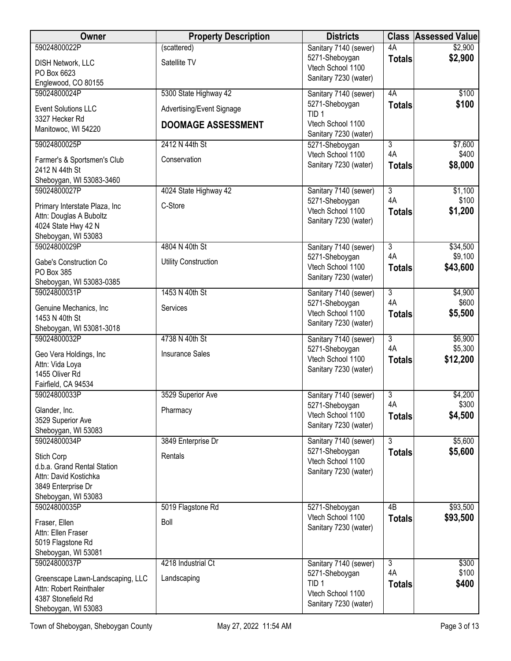| \$2,900<br>5271-Sheboygan<br><b>Totals</b><br>Satellite TV<br>DISH Network, LLC<br>Vtech School 1100<br>PO Box 6623<br>Sanitary 7230 (water)<br>Englewood, CO 80155<br>59024800024P<br>5300 State Highway 42<br>4A<br>\$100<br>Sanitary 7140 (sewer)<br>5271-Sheboygan<br>\$100<br><b>Totals</b><br><b>Event Solutions LLC</b><br>Advertising/Event Signage<br>TID <sub>1</sub><br>3327 Hecker Rd<br>Vtech School 1100<br><b>DOOMAGE ASSESSMENT</b><br>Manitowoc, WI 54220<br>Sanitary 7230 (water)<br>59024800025P<br>2412 N 44th St<br>\$7,600<br>3<br>5271-Sheboygan<br>4A<br>\$400<br>Vtech School 1100<br>Conservation<br>Farmer's & Sportsmen's Club<br>\$8,000<br>Sanitary 7230 (water)<br><b>Totals</b><br>2412 N 44th St<br>Sheboygan, WI 53083-3460<br>59024800027P<br>4024 State Highway 42<br>$\overline{3}$<br>\$1,100<br>Sanitary 7140 (sewer)<br>4A<br>\$100<br>5271-Sheboygan<br>C-Store<br>Primary Interstate Plaza, Inc.<br>Vtech School 1100<br>\$1,200<br><b>Totals</b><br>Attn: Douglas A Buboltz<br>Sanitary 7230 (water)<br>4024 State Hwy 42 N<br>Sheboygan, WI 53083<br>4804 N 40th St<br>\$34,500<br>59024800029P<br>$\overline{3}$<br>Sanitary 7140 (sewer)<br>4A<br>\$9,100<br>5271-Sheboygan<br>Gabe's Construction Co<br><b>Utility Construction</b><br>Vtech School 1100<br>\$43,600<br><b>Totals</b><br>PO Box 385<br>Sanitary 7230 (water)<br>Sheboygan, WI 53083-0385<br>59024800031P<br>1453 N 40th St<br>$\overline{3}$<br>\$4,900<br>Sanitary 7140 (sewer)<br>4A<br>\$600<br>5271-Sheboygan<br>Genuine Mechanics, Inc<br>Services<br>Vtech School 1100<br>\$5,500<br><b>Totals</b><br>1453 N 40th St<br>Sanitary 7230 (water)<br>Sheboygan, WI 53081-3018<br>4738 N 40th St<br>$\overline{3}$<br>\$6,900<br>59024800032P<br>Sanitary 7140 (sewer)<br>4A<br>\$5,300<br>5271-Sheboygan<br><b>Insurance Sales</b><br>Geo Vera Holdings, Inc<br>Vtech School 1100<br>\$12,200<br><b>Totals</b><br>Attn: Vida Loya<br>Sanitary 7230 (water)<br>1455 Oliver Rd<br>Fairfield, CA 94534<br>59024800033P<br>3529 Superior Ave<br>3<br>\$4,200<br>Sanitary 7140 (sewer)<br>4A<br>\$300<br>5271-Sheboygan<br>Glander, Inc.<br>Pharmacy<br>\$4,500<br>Vtech School 1100<br><b>Totals</b><br>3529 Superior Ave<br>Sanitary 7230 (water)<br>Sheboygan, WI 53083<br>59024800034P<br>$\overline{3}$<br>\$5,600<br>3849 Enterprise Dr<br>Sanitary 7140 (sewer)<br>\$5,600<br>5271-Sheboygan<br><b>Totals</b><br>Stich Corp<br>Rentals<br>Vtech School 1100<br>d.b.a. Grand Rental Station<br>Sanitary 7230 (water)<br>Attn: David Kostichka<br>3849 Enterprise Dr<br>Sheboygan, WI 53083<br>59024800035P<br>\$93,500<br>5019 Flagstone Rd<br>$\overline{AB}$<br>5271-Sheboygan<br>Vtech School 1100<br>\$93,500<br><b>Totals</b><br>Fraser, Ellen<br>Boll<br>Sanitary 7230 (water)<br>Attn: Ellen Fraser<br>5019 Flagstone Rd<br>Sheboygan, WI 53081<br>59024800037P<br>4218 Industrial Ct<br>3<br>\$300<br>Sanitary 7140 (sewer)<br>\$100<br>4A<br>5271-Sheboygan<br>Landscaping<br>Greenscape Lawn-Landscaping, LLC<br>TID <sub>1</sub><br>\$400<br><b>Totals</b><br>Attn: Robert Reinthaler<br>Vtech School 1100<br>4387 Stonefield Rd | Owner        | <b>Property Description</b> | <b>Districts</b>      | <b>Class</b> | <b>Assessed Value</b> |
|---------------------------------------------------------------------------------------------------------------------------------------------------------------------------------------------------------------------------------------------------------------------------------------------------------------------------------------------------------------------------------------------------------------------------------------------------------------------------------------------------------------------------------------------------------------------------------------------------------------------------------------------------------------------------------------------------------------------------------------------------------------------------------------------------------------------------------------------------------------------------------------------------------------------------------------------------------------------------------------------------------------------------------------------------------------------------------------------------------------------------------------------------------------------------------------------------------------------------------------------------------------------------------------------------------------------------------------------------------------------------------------------------------------------------------------------------------------------------------------------------------------------------------------------------------------------------------------------------------------------------------------------------------------------------------------------------------------------------------------------------------------------------------------------------------------------------------------------------------------------------------------------------------------------------------------------------------------------------------------------------------------------------------------------------------------------------------------------------------------------------------------------------------------------------------------------------------------------------------------------------------------------------------------------------------------------------------------------------------------------------------------------------------------------------------------------------------------------------------------------------------------------------------------------------------------------------------------------------------------------------------------------------------------------------------------------------------------------------------------------------------------------------------------------------------------------------------------------------------------------------------------------------------------------------------------------------------------------------------------------------------------------------------------------------------------------------------------------------------------------------------------------------------------|--------------|-----------------------------|-----------------------|--------------|-----------------------|
|                                                                                                                                                                                                                                                                                                                                                                                                                                                                                                                                                                                                                                                                                                                                                                                                                                                                                                                                                                                                                                                                                                                                                                                                                                                                                                                                                                                                                                                                                                                                                                                                                                                                                                                                                                                                                                                                                                                                                                                                                                                                                                                                                                                                                                                                                                                                                                                                                                                                                                                                                                                                                                                                                                                                                                                                                                                                                                                                                                                                                                                                                                                                                               | 59024800022P | (scattered)                 | Sanitary 7140 (sewer) | 4A           | \$2,900               |
|                                                                                                                                                                                                                                                                                                                                                                                                                                                                                                                                                                                                                                                                                                                                                                                                                                                                                                                                                                                                                                                                                                                                                                                                                                                                                                                                                                                                                                                                                                                                                                                                                                                                                                                                                                                                                                                                                                                                                                                                                                                                                                                                                                                                                                                                                                                                                                                                                                                                                                                                                                                                                                                                                                                                                                                                                                                                                                                                                                                                                                                                                                                                                               |              |                             |                       |              |                       |
|                                                                                                                                                                                                                                                                                                                                                                                                                                                                                                                                                                                                                                                                                                                                                                                                                                                                                                                                                                                                                                                                                                                                                                                                                                                                                                                                                                                                                                                                                                                                                                                                                                                                                                                                                                                                                                                                                                                                                                                                                                                                                                                                                                                                                                                                                                                                                                                                                                                                                                                                                                                                                                                                                                                                                                                                                                                                                                                                                                                                                                                                                                                                                               |              |                             |                       |              |                       |
|                                                                                                                                                                                                                                                                                                                                                                                                                                                                                                                                                                                                                                                                                                                                                                                                                                                                                                                                                                                                                                                                                                                                                                                                                                                                                                                                                                                                                                                                                                                                                                                                                                                                                                                                                                                                                                                                                                                                                                                                                                                                                                                                                                                                                                                                                                                                                                                                                                                                                                                                                                                                                                                                                                                                                                                                                                                                                                                                                                                                                                                                                                                                                               |              |                             |                       |              |                       |
|                                                                                                                                                                                                                                                                                                                                                                                                                                                                                                                                                                                                                                                                                                                                                                                                                                                                                                                                                                                                                                                                                                                                                                                                                                                                                                                                                                                                                                                                                                                                                                                                                                                                                                                                                                                                                                                                                                                                                                                                                                                                                                                                                                                                                                                                                                                                                                                                                                                                                                                                                                                                                                                                                                                                                                                                                                                                                                                                                                                                                                                                                                                                                               |              |                             |                       |              |                       |
|                                                                                                                                                                                                                                                                                                                                                                                                                                                                                                                                                                                                                                                                                                                                                                                                                                                                                                                                                                                                                                                                                                                                                                                                                                                                                                                                                                                                                                                                                                                                                                                                                                                                                                                                                                                                                                                                                                                                                                                                                                                                                                                                                                                                                                                                                                                                                                                                                                                                                                                                                                                                                                                                                                                                                                                                                                                                                                                                                                                                                                                                                                                                                               |              |                             |                       |              |                       |
|                                                                                                                                                                                                                                                                                                                                                                                                                                                                                                                                                                                                                                                                                                                                                                                                                                                                                                                                                                                                                                                                                                                                                                                                                                                                                                                                                                                                                                                                                                                                                                                                                                                                                                                                                                                                                                                                                                                                                                                                                                                                                                                                                                                                                                                                                                                                                                                                                                                                                                                                                                                                                                                                                                                                                                                                                                                                                                                                                                                                                                                                                                                                                               |              |                             |                       |              |                       |
|                                                                                                                                                                                                                                                                                                                                                                                                                                                                                                                                                                                                                                                                                                                                                                                                                                                                                                                                                                                                                                                                                                                                                                                                                                                                                                                                                                                                                                                                                                                                                                                                                                                                                                                                                                                                                                                                                                                                                                                                                                                                                                                                                                                                                                                                                                                                                                                                                                                                                                                                                                                                                                                                                                                                                                                                                                                                                                                                                                                                                                                                                                                                                               |              |                             |                       |              |                       |
|                                                                                                                                                                                                                                                                                                                                                                                                                                                                                                                                                                                                                                                                                                                                                                                                                                                                                                                                                                                                                                                                                                                                                                                                                                                                                                                                                                                                                                                                                                                                                                                                                                                                                                                                                                                                                                                                                                                                                                                                                                                                                                                                                                                                                                                                                                                                                                                                                                                                                                                                                                                                                                                                                                                                                                                                                                                                                                                                                                                                                                                                                                                                                               |              |                             |                       |              |                       |
|                                                                                                                                                                                                                                                                                                                                                                                                                                                                                                                                                                                                                                                                                                                                                                                                                                                                                                                                                                                                                                                                                                                                                                                                                                                                                                                                                                                                                                                                                                                                                                                                                                                                                                                                                                                                                                                                                                                                                                                                                                                                                                                                                                                                                                                                                                                                                                                                                                                                                                                                                                                                                                                                                                                                                                                                                                                                                                                                                                                                                                                                                                                                                               |              |                             |                       |              |                       |
|                                                                                                                                                                                                                                                                                                                                                                                                                                                                                                                                                                                                                                                                                                                                                                                                                                                                                                                                                                                                                                                                                                                                                                                                                                                                                                                                                                                                                                                                                                                                                                                                                                                                                                                                                                                                                                                                                                                                                                                                                                                                                                                                                                                                                                                                                                                                                                                                                                                                                                                                                                                                                                                                                                                                                                                                                                                                                                                                                                                                                                                                                                                                                               |              |                             |                       |              |                       |
|                                                                                                                                                                                                                                                                                                                                                                                                                                                                                                                                                                                                                                                                                                                                                                                                                                                                                                                                                                                                                                                                                                                                                                                                                                                                                                                                                                                                                                                                                                                                                                                                                                                                                                                                                                                                                                                                                                                                                                                                                                                                                                                                                                                                                                                                                                                                                                                                                                                                                                                                                                                                                                                                                                                                                                                                                                                                                                                                                                                                                                                                                                                                                               |              |                             |                       |              |                       |
|                                                                                                                                                                                                                                                                                                                                                                                                                                                                                                                                                                                                                                                                                                                                                                                                                                                                                                                                                                                                                                                                                                                                                                                                                                                                                                                                                                                                                                                                                                                                                                                                                                                                                                                                                                                                                                                                                                                                                                                                                                                                                                                                                                                                                                                                                                                                                                                                                                                                                                                                                                                                                                                                                                                                                                                                                                                                                                                                                                                                                                                                                                                                                               |              |                             |                       |              |                       |
|                                                                                                                                                                                                                                                                                                                                                                                                                                                                                                                                                                                                                                                                                                                                                                                                                                                                                                                                                                                                                                                                                                                                                                                                                                                                                                                                                                                                                                                                                                                                                                                                                                                                                                                                                                                                                                                                                                                                                                                                                                                                                                                                                                                                                                                                                                                                                                                                                                                                                                                                                                                                                                                                                                                                                                                                                                                                                                                                                                                                                                                                                                                                                               |              |                             |                       |              |                       |
|                                                                                                                                                                                                                                                                                                                                                                                                                                                                                                                                                                                                                                                                                                                                                                                                                                                                                                                                                                                                                                                                                                                                                                                                                                                                                                                                                                                                                                                                                                                                                                                                                                                                                                                                                                                                                                                                                                                                                                                                                                                                                                                                                                                                                                                                                                                                                                                                                                                                                                                                                                                                                                                                                                                                                                                                                                                                                                                                                                                                                                                                                                                                                               |              |                             |                       |              |                       |
|                                                                                                                                                                                                                                                                                                                                                                                                                                                                                                                                                                                                                                                                                                                                                                                                                                                                                                                                                                                                                                                                                                                                                                                                                                                                                                                                                                                                                                                                                                                                                                                                                                                                                                                                                                                                                                                                                                                                                                                                                                                                                                                                                                                                                                                                                                                                                                                                                                                                                                                                                                                                                                                                                                                                                                                                                                                                                                                                                                                                                                                                                                                                                               |              |                             |                       |              |                       |
|                                                                                                                                                                                                                                                                                                                                                                                                                                                                                                                                                                                                                                                                                                                                                                                                                                                                                                                                                                                                                                                                                                                                                                                                                                                                                                                                                                                                                                                                                                                                                                                                                                                                                                                                                                                                                                                                                                                                                                                                                                                                                                                                                                                                                                                                                                                                                                                                                                                                                                                                                                                                                                                                                                                                                                                                                                                                                                                                                                                                                                                                                                                                                               |              |                             |                       |              |                       |
|                                                                                                                                                                                                                                                                                                                                                                                                                                                                                                                                                                                                                                                                                                                                                                                                                                                                                                                                                                                                                                                                                                                                                                                                                                                                                                                                                                                                                                                                                                                                                                                                                                                                                                                                                                                                                                                                                                                                                                                                                                                                                                                                                                                                                                                                                                                                                                                                                                                                                                                                                                                                                                                                                                                                                                                                                                                                                                                                                                                                                                                                                                                                                               |              |                             |                       |              |                       |
|                                                                                                                                                                                                                                                                                                                                                                                                                                                                                                                                                                                                                                                                                                                                                                                                                                                                                                                                                                                                                                                                                                                                                                                                                                                                                                                                                                                                                                                                                                                                                                                                                                                                                                                                                                                                                                                                                                                                                                                                                                                                                                                                                                                                                                                                                                                                                                                                                                                                                                                                                                                                                                                                                                                                                                                                                                                                                                                                                                                                                                                                                                                                                               |              |                             |                       |              |                       |
|                                                                                                                                                                                                                                                                                                                                                                                                                                                                                                                                                                                                                                                                                                                                                                                                                                                                                                                                                                                                                                                                                                                                                                                                                                                                                                                                                                                                                                                                                                                                                                                                                                                                                                                                                                                                                                                                                                                                                                                                                                                                                                                                                                                                                                                                                                                                                                                                                                                                                                                                                                                                                                                                                                                                                                                                                                                                                                                                                                                                                                                                                                                                                               |              |                             |                       |              |                       |
|                                                                                                                                                                                                                                                                                                                                                                                                                                                                                                                                                                                                                                                                                                                                                                                                                                                                                                                                                                                                                                                                                                                                                                                                                                                                                                                                                                                                                                                                                                                                                                                                                                                                                                                                                                                                                                                                                                                                                                                                                                                                                                                                                                                                                                                                                                                                                                                                                                                                                                                                                                                                                                                                                                                                                                                                                                                                                                                                                                                                                                                                                                                                                               |              |                             |                       |              |                       |
|                                                                                                                                                                                                                                                                                                                                                                                                                                                                                                                                                                                                                                                                                                                                                                                                                                                                                                                                                                                                                                                                                                                                                                                                                                                                                                                                                                                                                                                                                                                                                                                                                                                                                                                                                                                                                                                                                                                                                                                                                                                                                                                                                                                                                                                                                                                                                                                                                                                                                                                                                                                                                                                                                                                                                                                                                                                                                                                                                                                                                                                                                                                                                               |              |                             |                       |              |                       |
|                                                                                                                                                                                                                                                                                                                                                                                                                                                                                                                                                                                                                                                                                                                                                                                                                                                                                                                                                                                                                                                                                                                                                                                                                                                                                                                                                                                                                                                                                                                                                                                                                                                                                                                                                                                                                                                                                                                                                                                                                                                                                                                                                                                                                                                                                                                                                                                                                                                                                                                                                                                                                                                                                                                                                                                                                                                                                                                                                                                                                                                                                                                                                               |              |                             |                       |              |                       |
|                                                                                                                                                                                                                                                                                                                                                                                                                                                                                                                                                                                                                                                                                                                                                                                                                                                                                                                                                                                                                                                                                                                                                                                                                                                                                                                                                                                                                                                                                                                                                                                                                                                                                                                                                                                                                                                                                                                                                                                                                                                                                                                                                                                                                                                                                                                                                                                                                                                                                                                                                                                                                                                                                                                                                                                                                                                                                                                                                                                                                                                                                                                                                               |              |                             |                       |              |                       |
|                                                                                                                                                                                                                                                                                                                                                                                                                                                                                                                                                                                                                                                                                                                                                                                                                                                                                                                                                                                                                                                                                                                                                                                                                                                                                                                                                                                                                                                                                                                                                                                                                                                                                                                                                                                                                                                                                                                                                                                                                                                                                                                                                                                                                                                                                                                                                                                                                                                                                                                                                                                                                                                                                                                                                                                                                                                                                                                                                                                                                                                                                                                                                               |              |                             |                       |              |                       |
|                                                                                                                                                                                                                                                                                                                                                                                                                                                                                                                                                                                                                                                                                                                                                                                                                                                                                                                                                                                                                                                                                                                                                                                                                                                                                                                                                                                                                                                                                                                                                                                                                                                                                                                                                                                                                                                                                                                                                                                                                                                                                                                                                                                                                                                                                                                                                                                                                                                                                                                                                                                                                                                                                                                                                                                                                                                                                                                                                                                                                                                                                                                                                               |              |                             |                       |              |                       |
|                                                                                                                                                                                                                                                                                                                                                                                                                                                                                                                                                                                                                                                                                                                                                                                                                                                                                                                                                                                                                                                                                                                                                                                                                                                                                                                                                                                                                                                                                                                                                                                                                                                                                                                                                                                                                                                                                                                                                                                                                                                                                                                                                                                                                                                                                                                                                                                                                                                                                                                                                                                                                                                                                                                                                                                                                                                                                                                                                                                                                                                                                                                                                               |              |                             |                       |              |                       |
|                                                                                                                                                                                                                                                                                                                                                                                                                                                                                                                                                                                                                                                                                                                                                                                                                                                                                                                                                                                                                                                                                                                                                                                                                                                                                                                                                                                                                                                                                                                                                                                                                                                                                                                                                                                                                                                                                                                                                                                                                                                                                                                                                                                                                                                                                                                                                                                                                                                                                                                                                                                                                                                                                                                                                                                                                                                                                                                                                                                                                                                                                                                                                               |              |                             |                       |              |                       |
|                                                                                                                                                                                                                                                                                                                                                                                                                                                                                                                                                                                                                                                                                                                                                                                                                                                                                                                                                                                                                                                                                                                                                                                                                                                                                                                                                                                                                                                                                                                                                                                                                                                                                                                                                                                                                                                                                                                                                                                                                                                                                                                                                                                                                                                                                                                                                                                                                                                                                                                                                                                                                                                                                                                                                                                                                                                                                                                                                                                                                                                                                                                                                               |              |                             |                       |              |                       |
|                                                                                                                                                                                                                                                                                                                                                                                                                                                                                                                                                                                                                                                                                                                                                                                                                                                                                                                                                                                                                                                                                                                                                                                                                                                                                                                                                                                                                                                                                                                                                                                                                                                                                                                                                                                                                                                                                                                                                                                                                                                                                                                                                                                                                                                                                                                                                                                                                                                                                                                                                                                                                                                                                                                                                                                                                                                                                                                                                                                                                                                                                                                                                               |              |                             |                       |              |                       |
|                                                                                                                                                                                                                                                                                                                                                                                                                                                                                                                                                                                                                                                                                                                                                                                                                                                                                                                                                                                                                                                                                                                                                                                                                                                                                                                                                                                                                                                                                                                                                                                                                                                                                                                                                                                                                                                                                                                                                                                                                                                                                                                                                                                                                                                                                                                                                                                                                                                                                                                                                                                                                                                                                                                                                                                                                                                                                                                                                                                                                                                                                                                                                               |              |                             |                       |              |                       |
|                                                                                                                                                                                                                                                                                                                                                                                                                                                                                                                                                                                                                                                                                                                                                                                                                                                                                                                                                                                                                                                                                                                                                                                                                                                                                                                                                                                                                                                                                                                                                                                                                                                                                                                                                                                                                                                                                                                                                                                                                                                                                                                                                                                                                                                                                                                                                                                                                                                                                                                                                                                                                                                                                                                                                                                                                                                                                                                                                                                                                                                                                                                                                               |              |                             |                       |              |                       |
|                                                                                                                                                                                                                                                                                                                                                                                                                                                                                                                                                                                                                                                                                                                                                                                                                                                                                                                                                                                                                                                                                                                                                                                                                                                                                                                                                                                                                                                                                                                                                                                                                                                                                                                                                                                                                                                                                                                                                                                                                                                                                                                                                                                                                                                                                                                                                                                                                                                                                                                                                                                                                                                                                                                                                                                                                                                                                                                                                                                                                                                                                                                                                               |              |                             |                       |              |                       |
|                                                                                                                                                                                                                                                                                                                                                                                                                                                                                                                                                                                                                                                                                                                                                                                                                                                                                                                                                                                                                                                                                                                                                                                                                                                                                                                                                                                                                                                                                                                                                                                                                                                                                                                                                                                                                                                                                                                                                                                                                                                                                                                                                                                                                                                                                                                                                                                                                                                                                                                                                                                                                                                                                                                                                                                                                                                                                                                                                                                                                                                                                                                                                               |              |                             |                       |              |                       |
|                                                                                                                                                                                                                                                                                                                                                                                                                                                                                                                                                                                                                                                                                                                                                                                                                                                                                                                                                                                                                                                                                                                                                                                                                                                                                                                                                                                                                                                                                                                                                                                                                                                                                                                                                                                                                                                                                                                                                                                                                                                                                                                                                                                                                                                                                                                                                                                                                                                                                                                                                                                                                                                                                                                                                                                                                                                                                                                                                                                                                                                                                                                                                               |              |                             |                       |              |                       |
|                                                                                                                                                                                                                                                                                                                                                                                                                                                                                                                                                                                                                                                                                                                                                                                                                                                                                                                                                                                                                                                                                                                                                                                                                                                                                                                                                                                                                                                                                                                                                                                                                                                                                                                                                                                                                                                                                                                                                                                                                                                                                                                                                                                                                                                                                                                                                                                                                                                                                                                                                                                                                                                                                                                                                                                                                                                                                                                                                                                                                                                                                                                                                               |              |                             |                       |              |                       |
|                                                                                                                                                                                                                                                                                                                                                                                                                                                                                                                                                                                                                                                                                                                                                                                                                                                                                                                                                                                                                                                                                                                                                                                                                                                                                                                                                                                                                                                                                                                                                                                                                                                                                                                                                                                                                                                                                                                                                                                                                                                                                                                                                                                                                                                                                                                                                                                                                                                                                                                                                                                                                                                                                                                                                                                                                                                                                                                                                                                                                                                                                                                                                               |              |                             |                       |              |                       |
|                                                                                                                                                                                                                                                                                                                                                                                                                                                                                                                                                                                                                                                                                                                                                                                                                                                                                                                                                                                                                                                                                                                                                                                                                                                                                                                                                                                                                                                                                                                                                                                                                                                                                                                                                                                                                                                                                                                                                                                                                                                                                                                                                                                                                                                                                                                                                                                                                                                                                                                                                                                                                                                                                                                                                                                                                                                                                                                                                                                                                                                                                                                                                               |              |                             |                       |              |                       |
|                                                                                                                                                                                                                                                                                                                                                                                                                                                                                                                                                                                                                                                                                                                                                                                                                                                                                                                                                                                                                                                                                                                                                                                                                                                                                                                                                                                                                                                                                                                                                                                                                                                                                                                                                                                                                                                                                                                                                                                                                                                                                                                                                                                                                                                                                                                                                                                                                                                                                                                                                                                                                                                                                                                                                                                                                                                                                                                                                                                                                                                                                                                                                               |              |                             |                       |              |                       |
|                                                                                                                                                                                                                                                                                                                                                                                                                                                                                                                                                                                                                                                                                                                                                                                                                                                                                                                                                                                                                                                                                                                                                                                                                                                                                                                                                                                                                                                                                                                                                                                                                                                                                                                                                                                                                                                                                                                                                                                                                                                                                                                                                                                                                                                                                                                                                                                                                                                                                                                                                                                                                                                                                                                                                                                                                                                                                                                                                                                                                                                                                                                                                               |              |                             |                       |              |                       |
|                                                                                                                                                                                                                                                                                                                                                                                                                                                                                                                                                                                                                                                                                                                                                                                                                                                                                                                                                                                                                                                                                                                                                                                                                                                                                                                                                                                                                                                                                                                                                                                                                                                                                                                                                                                                                                                                                                                                                                                                                                                                                                                                                                                                                                                                                                                                                                                                                                                                                                                                                                                                                                                                                                                                                                                                                                                                                                                                                                                                                                                                                                                                                               |              |                             |                       |              |                       |
|                                                                                                                                                                                                                                                                                                                                                                                                                                                                                                                                                                                                                                                                                                                                                                                                                                                                                                                                                                                                                                                                                                                                                                                                                                                                                                                                                                                                                                                                                                                                                                                                                                                                                                                                                                                                                                                                                                                                                                                                                                                                                                                                                                                                                                                                                                                                                                                                                                                                                                                                                                                                                                                                                                                                                                                                                                                                                                                                                                                                                                                                                                                                                               |              |                             |                       |              |                       |
|                                                                                                                                                                                                                                                                                                                                                                                                                                                                                                                                                                                                                                                                                                                                                                                                                                                                                                                                                                                                                                                                                                                                                                                                                                                                                                                                                                                                                                                                                                                                                                                                                                                                                                                                                                                                                                                                                                                                                                                                                                                                                                                                                                                                                                                                                                                                                                                                                                                                                                                                                                                                                                                                                                                                                                                                                                                                                                                                                                                                                                                                                                                                                               |              |                             |                       |              |                       |
|                                                                                                                                                                                                                                                                                                                                                                                                                                                                                                                                                                                                                                                                                                                                                                                                                                                                                                                                                                                                                                                                                                                                                                                                                                                                                                                                                                                                                                                                                                                                                                                                                                                                                                                                                                                                                                                                                                                                                                                                                                                                                                                                                                                                                                                                                                                                                                                                                                                                                                                                                                                                                                                                                                                                                                                                                                                                                                                                                                                                                                                                                                                                                               |              |                             |                       |              |                       |
|                                                                                                                                                                                                                                                                                                                                                                                                                                                                                                                                                                                                                                                                                                                                                                                                                                                                                                                                                                                                                                                                                                                                                                                                                                                                                                                                                                                                                                                                                                                                                                                                                                                                                                                                                                                                                                                                                                                                                                                                                                                                                                                                                                                                                                                                                                                                                                                                                                                                                                                                                                                                                                                                                                                                                                                                                                                                                                                                                                                                                                                                                                                                                               |              |                             |                       |              |                       |
|                                                                                                                                                                                                                                                                                                                                                                                                                                                                                                                                                                                                                                                                                                                                                                                                                                                                                                                                                                                                                                                                                                                                                                                                                                                                                                                                                                                                                                                                                                                                                                                                                                                                                                                                                                                                                                                                                                                                                                                                                                                                                                                                                                                                                                                                                                                                                                                                                                                                                                                                                                                                                                                                                                                                                                                                                                                                                                                                                                                                                                                                                                                                                               |              |                             |                       |              |                       |
| Sheboygan, WI 53083                                                                                                                                                                                                                                                                                                                                                                                                                                                                                                                                                                                                                                                                                                                                                                                                                                                                                                                                                                                                                                                                                                                                                                                                                                                                                                                                                                                                                                                                                                                                                                                                                                                                                                                                                                                                                                                                                                                                                                                                                                                                                                                                                                                                                                                                                                                                                                                                                                                                                                                                                                                                                                                                                                                                                                                                                                                                                                                                                                                                                                                                                                                                           |              |                             | Sanitary 7230 (water) |              |                       |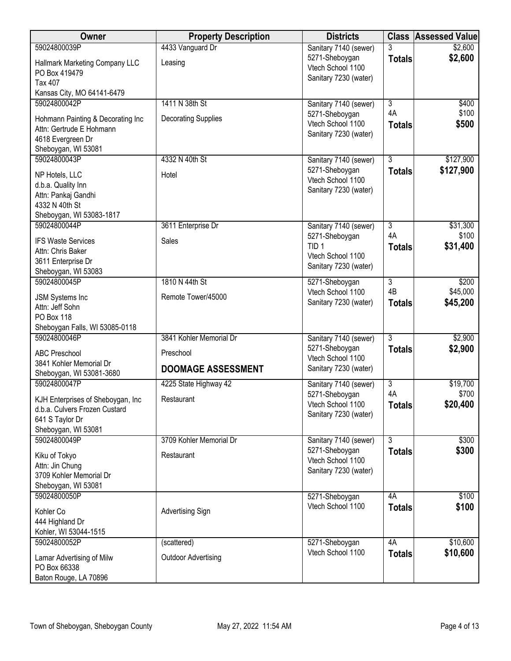| Owner                                                              | <b>Property Description</b> | <b>Districts</b>                      | <b>Class</b>   | <b>Assessed Value</b> |
|--------------------------------------------------------------------|-----------------------------|---------------------------------------|----------------|-----------------------|
| 59024800039P                                                       | 4433 Vanguard Dr            | Sanitary 7140 (sewer)                 | 3              | \$2,600               |
| Hallmark Marketing Company LLC                                     | Leasing                     | 5271-Sheboygan<br>Vtech School 1100   | <b>Totals</b>  | \$2,600               |
| PO Box 419479                                                      |                             | Sanitary 7230 (water)                 |                |                       |
| <b>Tax 407</b><br>Kansas City, MO 64141-6479                       |                             |                                       |                |                       |
| 59024800042P                                                       | 1411 N 38th St              | Sanitary 7140 (sewer)                 | $\overline{3}$ | \$400                 |
|                                                                    |                             | 5271-Sheboygan                        | 4A             | \$100                 |
| Hohmann Painting & Decorating Inc<br>Attn: Gertrude E Hohmann      | <b>Decorating Supplies</b>  | Vtech School 1100                     | <b>Totals</b>  | \$500                 |
| 4618 Evergreen Dr                                                  |                             | Sanitary 7230 (water)                 |                |                       |
| Sheboygan, WI 53081                                                |                             |                                       |                |                       |
| 59024800043P                                                       | 4332 N 40th St              | Sanitary 7140 (sewer)                 | 3              | \$127,900             |
| NP Hotels, LLC                                                     | Hotel                       | 5271-Sheboygan<br>Vtech School 1100   | <b>Totals</b>  | \$127,900             |
| d.b.a. Quality Inn                                                 |                             | Sanitary 7230 (water)                 |                |                       |
| Attn: Pankaj Gandhi<br>4332 N 40th St                              |                             |                                       |                |                       |
| Sheboygan, WI 53083-1817                                           |                             |                                       |                |                       |
| 59024800044P                                                       | 3611 Enterprise Dr          | Sanitary 7140 (sewer)                 | $\overline{3}$ | \$31,300              |
| <b>IFS Waste Services</b>                                          | Sales                       | 5271-Sheboygan                        | 4A             | \$100                 |
| Attn: Chris Baker                                                  |                             | TID <sub>1</sub><br>Vtech School 1100 | <b>Totals</b>  | \$31,400              |
| 3611 Enterprise Dr                                                 |                             | Sanitary 7230 (water)                 |                |                       |
| Sheboygan, WI 53083<br>59024800045P                                | 1810 N 44th St              | 5271-Sheboygan                        | $\overline{3}$ | \$200                 |
|                                                                    |                             | Vtech School 1100                     | 4B             | \$45,000              |
| JSM Systems Inc<br>Attn: Jeff Sohn                                 | Remote Tower/45000          | Sanitary 7230 (water)                 | <b>Totals</b>  | \$45,200              |
| <b>PO Box 118</b>                                                  |                             |                                       |                |                       |
| Sheboygan Falls, WI 53085-0118                                     |                             |                                       |                |                       |
| 59024800046P                                                       | 3841 Kohler Memorial Dr     | Sanitary 7140 (sewer)                 | $\overline{3}$ | \$2,900               |
| <b>ABC Preschool</b>                                               | Preschool                   | 5271-Sheboygan<br>Vtech School 1100   | <b>Totals</b>  | \$2,900               |
| 3841 Kohler Memorial Dr                                            | <b>DOOMAGE ASSESSMENT</b>   | Sanitary 7230 (water)                 |                |                       |
| Sheboygan, WI 53081-3680<br>59024800047P                           | 4225 State Highway 42       | Sanitary 7140 (sewer)                 | $\overline{3}$ | \$19,700              |
|                                                                    |                             | 5271-Sheboygan                        | 4A             | \$700                 |
| KJH Enterprises of Sheboygan, Inc<br>d.b.a. Culvers Frozen Custard | Restaurant                  | Vtech School 1100                     | <b>Totals</b>  | \$20,400              |
| 641 S Taylor Dr                                                    |                             | Sanitary 7230 (water)                 |                |                       |
| Sheboygan, WI 53081                                                |                             |                                       |                |                       |
| 59024800049P                                                       | 3709 Kohler Memorial Dr     | Sanitary 7140 (sewer)                 | $\overline{3}$ | \$300                 |
| Kiku of Tokyo                                                      | Restaurant                  | 5271-Sheboygan<br>Vtech School 1100   | <b>Totals</b>  | \$300                 |
| Attn: Jin Chung                                                    |                             | Sanitary 7230 (water)                 |                |                       |
| 3709 Kohler Memorial Dr<br>Sheboygan, WI 53081                     |                             |                                       |                |                       |
| 59024800050P                                                       |                             | 5271-Sheboygan                        | 4A             | \$100                 |
| Kohler Co                                                          | <b>Advertising Sign</b>     | Vtech School 1100                     | <b>Totals</b>  | \$100                 |
| 444 Highland Dr                                                    |                             |                                       |                |                       |
| Kohler, WI 53044-1515                                              |                             |                                       |                |                       |
| 59024800052P                                                       | (scattered)                 | 5271-Sheboygan                        | 4A             | \$10,600              |
| Lamar Advertising of Milw                                          | <b>Outdoor Advertising</b>  | Vtech School 1100                     | <b>Totals</b>  | \$10,600              |
| PO Box 66338                                                       |                             |                                       |                |                       |
| Baton Rouge, LA 70896                                              |                             |                                       |                |                       |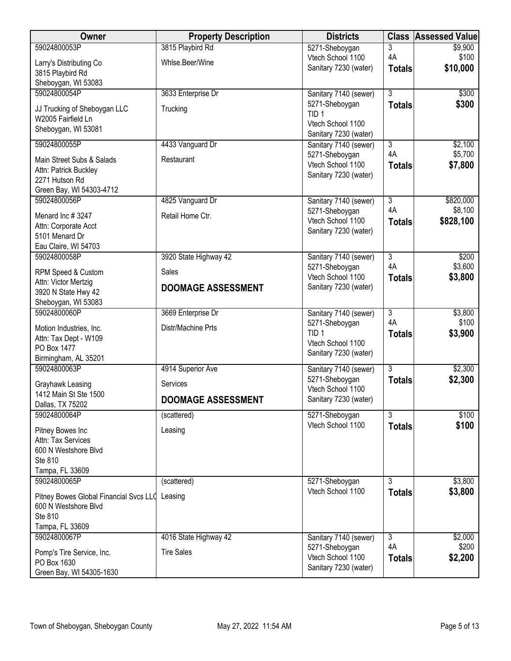| Owner                                     | <b>Property Description</b> | <b>Districts</b>                           | <b>Class</b>                    | <b>Assessed Value</b> |
|-------------------------------------------|-----------------------------|--------------------------------------------|---------------------------------|-----------------------|
| 59024800053P                              | 3815 Playbird Rd            | 5271-Sheboygan                             | 3                               | \$9,900               |
| Larry's Distributing Co                   | Whlse.Beer/Wine             | Vtech School 1100                          | 4A                              | \$100                 |
| 3815 Playbird Rd                          |                             | Sanitary 7230 (water)                      | <b>Totals</b>                   | \$10,000              |
| Sheboygan, WI 53083                       |                             |                                            |                                 |                       |
| 59024800054P                              | 3633 Enterprise Dr          | Sanitary 7140 (sewer)                      | $\overline{3}$                  | \$300                 |
| JJ Trucking of Sheboygan LLC              | Trucking                    | 5271-Sheboygan<br>TID <sub>1</sub>         | <b>Totals</b>                   | \$300                 |
| W2005 Fairfield Ln                        |                             | Vtech School 1100                          |                                 |                       |
| Sheboygan, WI 53081                       |                             | Sanitary 7230 (water)                      |                                 |                       |
| 59024800055P                              | 4433 Vanguard Dr            | Sanitary 7140 (sewer)                      | $\overline{3}$                  | \$2,100               |
| Main Street Subs & Salads                 | Restaurant                  | 5271-Sheboygan                             | 4A                              | \$5,700               |
| Attn: Patrick Buckley                     |                             | Vtech School 1100<br>Sanitary 7230 (water) | <b>Totals</b>                   | \$7,800               |
| 2271 Hutson Rd                            |                             |                                            |                                 |                       |
| Green Bay, WI 54303-4712                  |                             |                                            |                                 |                       |
| 59024800056P                              | 4825 Vanguard Dr            | Sanitary 7140 (sewer)                      | $\overline{3}$                  | \$820,000             |
| Menard Inc #3247                          | Retail Home Ctr.            | 5271-Sheboygan<br>Vtech School 1100        | 4A                              | \$8,100               |
| Attn: Corporate Acct                      |                             | Sanitary 7230 (water)                      | <b>Totals</b>                   | \$828,100             |
| 5101 Menard Dr                            |                             |                                            |                                 |                       |
| Eau Claire, WI 54703                      |                             |                                            |                                 |                       |
| 59024800058P                              | 3920 State Highway 42       | Sanitary 7140 (sewer)<br>5271-Sheboygan    | $\overline{\overline{3}}$<br>4A | \$200<br>\$3,600      |
| RPM Speed & Custom                        | Sales                       | Vtech School 1100                          | <b>Totals</b>                   | \$3,800               |
| Attn: Victor Mertzig                      | <b>DOOMAGE ASSESSMENT</b>   | Sanitary 7230 (water)                      |                                 |                       |
| 3920 N State Hwy 42                       |                             |                                            |                                 |                       |
| Sheboygan, WI 53083<br>59024800060P       | 3669 Enterprise Dr          |                                            | $\overline{3}$                  | \$3,800               |
|                                           |                             | Sanitary 7140 (sewer)<br>5271-Sheboygan    | 4A                              | \$100                 |
| Motion Industries, Inc.                   | Distr/Machine Prts          | TID <sub>1</sub>                           | <b>Totals</b>                   | \$3,900               |
| Attn: Tax Dept - W109<br>PO Box 1477      |                             | Vtech School 1100                          |                                 |                       |
| Birmingham, AL 35201                      |                             | Sanitary 7230 (water)                      |                                 |                       |
| 59024800063P                              | 4914 Superior Ave           | Sanitary 7140 (sewer)                      | 3                               | \$2,300               |
|                                           |                             | 5271-Sheboygan                             | <b>Totals</b>                   | \$2,300               |
| Grayhawk Leasing<br>1412 Main St Ste 1500 | Services                    | Vtech School 1100                          |                                 |                       |
| Dallas, TX 75202                          | <b>DOOMAGE ASSESSMENT</b>   | Sanitary 7230 (water)                      |                                 |                       |
| 59024800064P                              | (scattered)                 | 5271-Sheboygan                             | $\overline{3}$                  | \$100                 |
| Pitney Bowes Inc                          | Leasing                     | Vtech School 1100                          | <b>Totals</b>                   | \$100                 |
| Attn: Tax Services                        |                             |                                            |                                 |                       |
| 600 N Westshore Blvd                      |                             |                                            |                                 |                       |
| Ste 810                                   |                             |                                            |                                 |                       |
| Tampa, FL 33609                           |                             |                                            |                                 |                       |
| 59024800065P                              | (scattered)                 | 5271-Sheboygan                             | $\overline{3}$                  | \$3,800               |
| Pitney Bowes Global Financial Svcs LLO    | Leasing                     | Vtech School 1100                          | <b>Totals</b>                   | \$3,800               |
| 600 N Westshore Blvd                      |                             |                                            |                                 |                       |
| Ste 810                                   |                             |                                            |                                 |                       |
| Tampa, FL 33609                           |                             |                                            |                                 |                       |
| 59024800067P                              | 4016 State Highway 42       | Sanitary 7140 (sewer)<br>5271-Sheboygan    | $\overline{3}$<br>4A            | \$2,000<br>\$200      |
| Pomp's Tire Service, Inc.                 | <b>Tire Sales</b>           | Vtech School 1100                          | <b>Totals</b>                   | \$2,200               |
| PO Box 1630                               |                             | Sanitary 7230 (water)                      |                                 |                       |
| Green Bay, WI 54305-1630                  |                             |                                            |                                 |                       |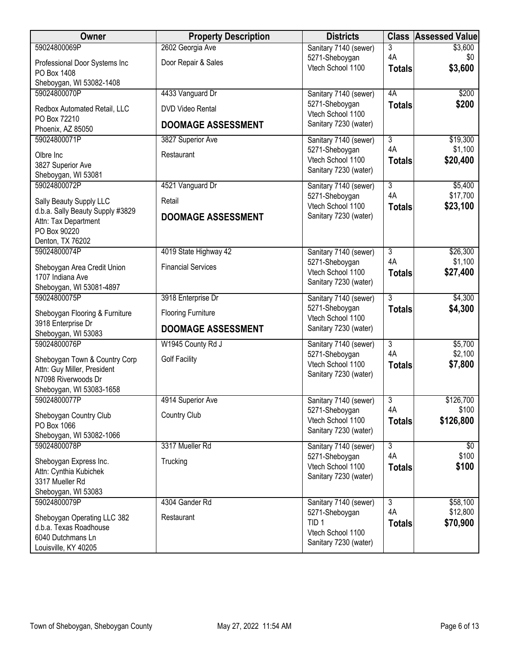| Owner                                           | <b>Property Description</b> | <b>Districts</b>                           |                      | <b>Class Assessed Value</b> |
|-------------------------------------------------|-----------------------------|--------------------------------------------|----------------------|-----------------------------|
| 59024800069P                                    | 2602 Georgia Ave            | Sanitary 7140 (sewer)                      | 3                    | \$3,600                     |
| Professional Door Systems Inc<br>PO Box 1408    | Door Repair & Sales         | 5271-Sheboygan<br>Vtech School 1100        | 4A<br><b>Totals</b>  | \$0<br>\$3,600              |
| Sheboygan, WI 53082-1408                        |                             |                                            |                      |                             |
| 59024800070P                                    | 4433 Vanguard Dr            | Sanitary 7140 (sewer)                      | 4A                   | \$200                       |
| Redbox Automated Retail, LLC                    | <b>DVD Video Rental</b>     | 5271-Sheboygan<br>Vtech School 1100        | <b>Totals</b>        | \$200                       |
| PO Box 72210<br>Phoenix, AZ 85050               | <b>DOOMAGE ASSESSMENT</b>   | Sanitary 7230 (water)                      |                      |                             |
| 59024800071P                                    | 3827 Superior Ave           | Sanitary 7140 (sewer)                      | $\overline{3}$       | \$19,300                    |
|                                                 |                             | 5271-Sheboygan                             | 4A                   | \$1,100                     |
| Olbre Inc<br>3827 Superior Ave                  | Restaurant                  | Vtech School 1100                          | <b>Totals</b>        | \$20,400                    |
| Sheboygan, WI 53081                             |                             | Sanitary 7230 (water)                      |                      |                             |
| 59024800072P                                    | 4521 Vanguard Dr            | Sanitary 7140 (sewer)                      | $\overline{3}$       | \$5,400                     |
| Sally Beauty Supply LLC                         | Retail                      | 5271-Sheboygan                             | 4A                   | \$17,700                    |
| d.b.a. Sally Beauty Supply #3829                |                             | Vtech School 1100<br>Sanitary 7230 (water) | <b>Totals</b>        | \$23,100                    |
| Attn: Tax Department                            | <b>DOOMAGE ASSESSMENT</b>   |                                            |                      |                             |
| PO Box 90220                                    |                             |                                            |                      |                             |
| Denton, TX 76202<br>59024800074P                | 4019 State Highway 42       | Sanitary 7140 (sewer)                      | $\overline{3}$       | \$26,300                    |
|                                                 |                             | 5271-Sheboygan                             | 4A                   | \$1,100                     |
| Sheboygan Area Credit Union<br>1707 Indiana Ave | <b>Financial Services</b>   | Vtech School 1100                          | <b>Totals</b>        | \$27,400                    |
| Sheboygan, WI 53081-4897                        |                             | Sanitary 7230 (water)                      |                      |                             |
| 59024800075P                                    | 3918 Enterprise Dr          | Sanitary 7140 (sewer)                      | $\overline{3}$       | \$4,300                     |
| Sheboygan Flooring & Furniture                  | <b>Flooring Furniture</b>   | 5271-Sheboygan                             | <b>Totals</b>        | \$4,300                     |
| 3918 Enterprise Dr                              |                             | Vtech School 1100                          |                      |                             |
| Sheboygan, WI 53083                             | <b>DOOMAGE ASSESSMENT</b>   | Sanitary 7230 (water)                      |                      |                             |
| 59024800076P                                    | W1945 County Rd J           | Sanitary 7140 (sewer)                      | $\overline{3}$       | \$5,700                     |
| Sheboygan Town & Country Corp                   | <b>Golf Facility</b>        | 5271-Sheboygan<br>Vtech School 1100        | 4A<br><b>Totals</b>  | \$2,100<br>\$7,800          |
| Attn: Guy Miller, President                     |                             | Sanitary 7230 (water)                      |                      |                             |
| N7098 Riverwoods Dr                             |                             |                                            |                      |                             |
| Sheboygan, WI 53083-1658<br>59024800077P        | 4914 Superior Ave           | Sanitary 7140 (sewer)                      | $\overline{3}$       | \$126,700                   |
|                                                 |                             | 5271-Sheboygan                             | 4A                   | \$100                       |
| Sheboygan Country Club<br>PO Box 1066           | Country Club                | Vtech School 1100                          | <b>Totals</b>        | \$126,800                   |
| Sheboygan, WI 53082-1066                        |                             | Sanitary 7230 (water)                      |                      |                             |
| 59024800078P                                    | 3317 Mueller Rd             | Sanitary 7140 (sewer)                      | $\overline{3}$       | \$0                         |
| Sheboygan Express Inc.                          | Trucking                    | 5271-Sheboygan                             | 4A                   | \$100                       |
| Attn: Cynthia Kubichek                          |                             | Vtech School 1100<br>Sanitary 7230 (water) | <b>Totals</b>        | \$100                       |
| 3317 Mueller Rd                                 |                             |                                            |                      |                             |
| Sheboygan, WI 53083                             |                             |                                            |                      |                             |
| 59024800079P                                    | 4304 Gander Rd              | Sanitary 7140 (sewer)<br>5271-Sheboygan    | $\overline{3}$<br>4A | \$58,100<br>\$12,800        |
| Sheboygan Operating LLC 382                     | Restaurant                  | TID <sub>1</sub>                           | <b>Totals</b>        | \$70,900                    |
| d.b.a. Texas Roadhouse<br>6040 Dutchmans Ln     |                             | Vtech School 1100                          |                      |                             |
| Louisville, KY 40205                            |                             | Sanitary 7230 (water)                      |                      |                             |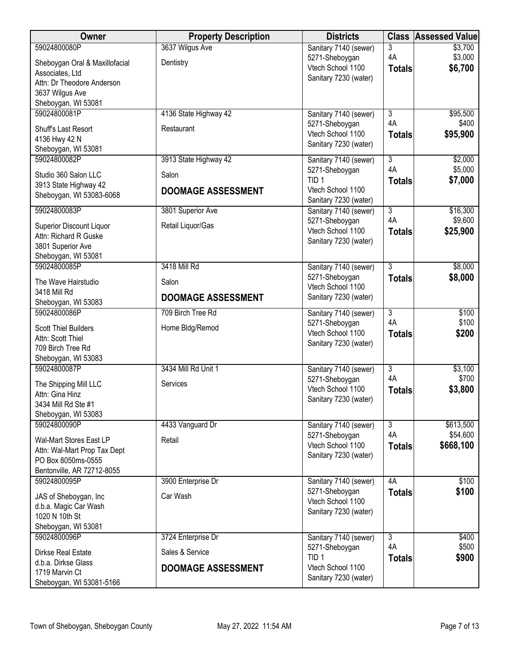| Owner                                             | <b>Property Description</b> | <b>Districts</b>                           |                      | <b>Class Assessed Value</b> |
|---------------------------------------------------|-----------------------------|--------------------------------------------|----------------------|-----------------------------|
| 59024800080P                                      | 3637 Wilgus Ave             | Sanitary 7140 (sewer)                      | 3                    | \$3,700                     |
| Sheboygan Oral & Maxillofacial                    | Dentistry                   | 5271-Sheboygan                             | 4A                   | \$3,000                     |
| Associates, Ltd                                   |                             | Vtech School 1100<br>Sanitary 7230 (water) | <b>Totals</b>        | \$6,700                     |
| Attn: Dr Theodore Anderson                        |                             |                                            |                      |                             |
| 3637 Wilgus Ave                                   |                             |                                            |                      |                             |
| Sheboygan, WI 53081<br>59024800081P               | 4136 State Highway 42       |                                            | $\overline{3}$       | \$95,500                    |
|                                                   |                             | Sanitary 7140 (sewer)<br>5271-Sheboygan    | 4A                   | \$400                       |
| Shuff's Last Resort                               | Restaurant                  | Vtech School 1100                          | <b>Totals</b>        | \$95,900                    |
| 4136 Hwy 42 N                                     |                             | Sanitary 7230 (water)                      |                      |                             |
| Sheboygan, WI 53081<br>59024800082P               | 3913 State Highway 42       | Sanitary 7140 (sewer)                      | 3                    | \$2,000                     |
|                                                   |                             | 5271-Sheboygan                             | 4A                   | \$5,000                     |
| Studio 360 Salon LLC                              | Salon                       | TID <sub>1</sub>                           | <b>Totals</b>        | \$7,000                     |
| 3913 State Highway 42<br>Sheboygan, WI 53083-6068 | <b>DOOMAGE ASSESSMENT</b>   | Vtech School 1100                          |                      |                             |
|                                                   |                             | Sanitary 7230 (water)                      |                      |                             |
| 59024800083P                                      | 3801 Superior Ave           | Sanitary 7140 (sewer)                      | $\overline{3}$<br>4A | \$16,300<br>\$9,600         |
| Superior Discount Liquor                          | Retail Liquor/Gas           | 5271-Sheboygan<br>Vtech School 1100        | <b>Totals</b>        | \$25,900                    |
| Attn: Richard R Guske                             |                             | Sanitary 7230 (water)                      |                      |                             |
| 3801 Superior Ave                                 |                             |                                            |                      |                             |
| Sheboygan, WI 53081<br>59024800085P               | 3418 Mill Rd                | Sanitary 7140 (sewer)                      | 3                    | \$8,000                     |
|                                                   |                             | 5271-Sheboygan                             | <b>Totals</b>        | \$8,000                     |
| The Wave Hairstudio                               | Salon                       | Vtech School 1100                          |                      |                             |
| 3418 Mill Rd<br>Sheboygan, WI 53083               | <b>DOOMAGE ASSESSMENT</b>   | Sanitary 7230 (water)                      |                      |                             |
| 59024800086P                                      | 709 Birch Tree Rd           | Sanitary 7140 (sewer)                      | $\overline{3}$       | \$100                       |
| <b>Scott Thiel Builders</b>                       |                             | 5271-Sheboygan                             | 4A                   | \$100                       |
| Attn: Scott Thiel                                 | Home Bldg/Remod             | Vtech School 1100                          | <b>Totals</b>        | \$200                       |
| 709 Birch Tree Rd                                 |                             | Sanitary 7230 (water)                      |                      |                             |
| Sheboygan, WI 53083                               |                             |                                            |                      |                             |
| 59024800087P                                      | 3434 Mill Rd Unit 1         | Sanitary 7140 (sewer)                      | 3                    | \$3,100                     |
| The Shipping Mill LLC                             | Services                    | 5271-Sheboygan                             | 4A                   | \$700                       |
| Attn: Gina Hinz                                   |                             | Vtech School 1100<br>Sanitary 7230 (water) | <b>Totals</b>        | \$3,800                     |
| 3434 Mill Rd Ste #1                               |                             |                                            |                      |                             |
| Sheboygan, WI 53083                               |                             |                                            |                      |                             |
| 59024800090P                                      | 4433 Vanguard Dr            | Sanitary 7140 (sewer)<br>5271-Sheboygan    | $\overline{3}$<br>4A | \$613,500<br>\$54,600       |
| Wal-Mart Stores East LP                           | Retail                      | Vtech School 1100                          | <b>Totals</b>        | \$668,100                   |
| Attn: Wal-Mart Prop Tax Dept                      |                             | Sanitary 7230 (water)                      |                      |                             |
| PO Box 8050ms-0555<br>Bentonville, AR 72712-8055  |                             |                                            |                      |                             |
| 59024800095P                                      | 3900 Enterprise Dr          | Sanitary 7140 (sewer)                      | 4A                   | \$100                       |
|                                                   |                             | 5271-Sheboygan                             | <b>Totals</b>        | \$100                       |
| JAS of Sheboygan, Inc                             | Car Wash                    | Vtech School 1100                          |                      |                             |
| d.b.a. Magic Car Wash<br>1020 N 10th St           |                             | Sanitary 7230 (water)                      |                      |                             |
| Sheboygan, WI 53081                               |                             |                                            |                      |                             |
| 59024800096P                                      | 3724 Enterprise Dr          | Sanitary 7140 (sewer)                      | 3                    | \$400                       |
| Dirkse Real Estate                                | Sales & Service             | 5271-Sheboygan                             | 4A                   | \$500                       |
| d.b.a. Dirkse Glass                               |                             | TID <sub>1</sub>                           | <b>Totals</b>        | \$900                       |
| 1719 Marvin Ct                                    | <b>DOOMAGE ASSESSMENT</b>   | Vtech School 1100<br>Sanitary 7230 (water) |                      |                             |
| Sheboygan, WI 53081-5166                          |                             |                                            |                      |                             |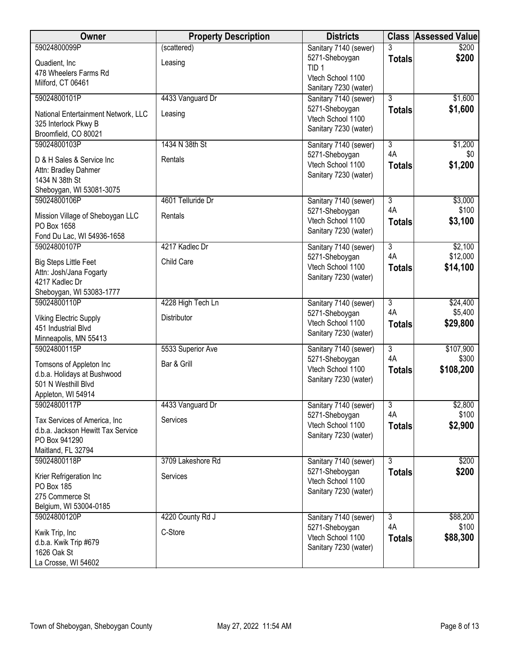| Owner                                              | <b>Property Description</b> | <b>Districts</b>                           |                     | <b>Class Assessed Value</b> |
|----------------------------------------------------|-----------------------------|--------------------------------------------|---------------------|-----------------------------|
| 59024800099P                                       | (scattered)                 | Sanitary 7140 (sewer)                      | 3                   | \$200                       |
| Quadient, Inc                                      | Leasing                     | 5271-Sheboygan<br>TID <sub>1</sub>         | <b>Totals</b>       | \$200                       |
| 478 Wheelers Farms Rd<br>Milford, CT 06461         |                             | Vtech School 1100                          |                     |                             |
|                                                    |                             | Sanitary 7230 (water)                      |                     |                             |
| 59024800101P                                       | 4433 Vanguard Dr            | Sanitary 7140 (sewer)<br>5271-Sheboygan    | $\overline{3}$      | \$1,600                     |
| National Entertainment Network, LLC                | Leasing                     | Vtech School 1100                          | <b>Totals</b>       | \$1,600                     |
| 325 Interlock Pkwy B<br>Broomfield, CO 80021       |                             | Sanitary 7230 (water)                      |                     |                             |
| 59024800103P                                       | 1434 N 38th St              | Sanitary 7140 (sewer)                      | $\overline{3}$      | \$1,200                     |
| D & H Sales & Service Inc                          | Rentals                     | 5271-Sheboygan                             | 4A                  | \$0                         |
| Attn: Bradley Dahmer                               |                             | Vtech School 1100                          | <b>Totals</b>       | \$1,200                     |
| 1434 N 38th St                                     |                             | Sanitary 7230 (water)                      |                     |                             |
| Sheboygan, WI 53081-3075<br>59024800106P           | 4601 Telluride Dr           |                                            | $\overline{3}$      | \$3,000                     |
|                                                    |                             | Sanitary 7140 (sewer)<br>5271-Sheboygan    | 4A                  | \$100                       |
| Mission Village of Sheboygan LLC<br>PO Box 1658    | Rentals                     | Vtech School 1100                          | <b>Totals</b>       | \$3,100                     |
| Fond Du Lac, WI 54936-1658                         |                             | Sanitary 7230 (water)                      |                     |                             |
| 59024800107P                                       | 4217 Kadlec Dr              | Sanitary 7140 (sewer)                      | $\overline{3}$      | \$2,100                     |
| <b>Big Steps Little Feet</b>                       | Child Care                  | 5271-Sheboygan                             | 4A                  | \$12,000                    |
| Attn: Josh/Jana Fogarty                            |                             | Vtech School 1100<br>Sanitary 7230 (water) | <b>Totals</b>       | \$14,100                    |
| 4217 Kadlec Dr                                     |                             |                                            |                     |                             |
| Sheboygan, WI 53083-1777<br>59024800110P           | 4228 High Tech Ln           | Sanitary 7140 (sewer)                      | $\overline{3}$      | \$24,400                    |
| <b>Viking Electric Supply</b>                      | Distributor                 | 5271-Sheboygan                             | 4A                  | \$5,400                     |
| 451 Industrial Blvd                                |                             | Vtech School 1100                          | <b>Totals</b>       | \$29,800                    |
| Minneapolis, MN 55413                              |                             | Sanitary 7230 (water)                      |                     |                             |
| 59024800115P                                       | 5533 Superior Ave           | Sanitary 7140 (sewer)                      | $\overline{3}$      | \$107,900                   |
| Tomsons of Appleton Inc                            | Bar & Grill                 | 5271-Sheboygan<br>Vtech School 1100        | 4A<br><b>Totals</b> | \$300<br>\$108,200          |
| d.b.a. Holidays at Bushwood<br>501 N Westhill Blvd |                             | Sanitary 7230 (water)                      |                     |                             |
| Appleton, WI 54914                                 |                             |                                            |                     |                             |
| 59024800117P                                       | 4433 Vanguard Dr            | Sanitary 7140 (sewer)                      | $\overline{3}$      | \$2,800                     |
| Tax Services of America, Inc.                      | Services                    | 5271-Sheboygan                             | 4A                  | \$100                       |
| d.b.a. Jackson Hewitt Tax Service                  |                             | Vtech School 1100<br>Sanitary 7230 (water) | <b>Totals</b>       | \$2,900                     |
| PO Box 941290                                      |                             |                                            |                     |                             |
| Maitland, FL 32794<br>59024800118P                 | 3709 Lakeshore Rd           | Sanitary 7140 (sewer)                      | $\overline{3}$      | \$200                       |
| Krier Refrigeration Inc                            | Services                    | 5271-Sheboygan                             | <b>Totals</b>       | \$200                       |
| PO Box 185                                         |                             | Vtech School 1100                          |                     |                             |
| 275 Commerce St                                    |                             | Sanitary 7230 (water)                      |                     |                             |
| Belgium, WI 53004-0185<br>59024800120P             |                             |                                            | $\overline{3}$      |                             |
|                                                    | 4220 County Rd J            | Sanitary 7140 (sewer)<br>5271-Sheboygan    | 4A                  | \$88,200<br>\$100           |
| Kwik Trip, Inc                                     | C-Store                     | Vtech School 1100                          | <b>Totals</b>       | \$88,300                    |
| d.b.a. Kwik Trip #679<br>1626 Oak St               |                             | Sanitary 7230 (water)                      |                     |                             |
| La Crosse, WI 54602                                |                             |                                            |                     |                             |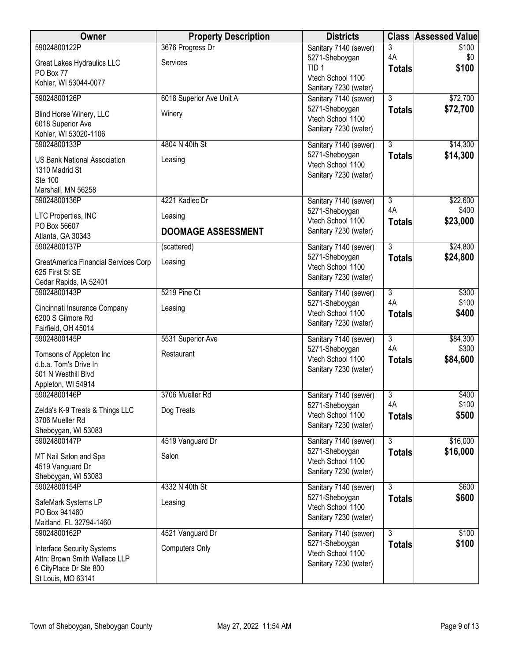| Owner                                    | <b>Property Description</b> | <b>Districts</b>                        |                                 | <b>Class Assessed Value</b> |
|------------------------------------------|-----------------------------|-----------------------------------------|---------------------------------|-----------------------------|
| 59024800122P                             | 3676 Progress Dr            | Sanitary 7140 (sewer)                   | 3                               | \$100                       |
| Great Lakes Hydraulics LLC               | Services                    | 5271-Sheboygan<br>TID <sub>1</sub>      | 4A                              | \$0<br>\$100                |
| PO Box 77                                |                             | Vtech School 1100                       | <b>Totals</b>                   |                             |
| Kohler, WI 53044-0077                    |                             | Sanitary 7230 (water)                   |                                 |                             |
| 59024800126P                             | 6018 Superior Ave Unit A    | Sanitary 7140 (sewer)                   | $\overline{3}$                  | \$72,700                    |
| Blind Horse Winery, LLC                  | Winery                      | 5271-Sheboygan<br>Vtech School 1100     | <b>Totals</b>                   | \$72,700                    |
| 6018 Superior Ave                        |                             | Sanitary 7230 (water)                   |                                 |                             |
| Kohler, WI 53020-1106                    |                             |                                         |                                 |                             |
| 59024800133P                             | 4804 N 40th St              | Sanitary 7140 (sewer)<br>5271-Sheboygan | $\overline{3}$<br><b>Totals</b> | \$14,300<br>\$14,300        |
| <b>US Bank National Association</b>      | Leasing                     | Vtech School 1100                       |                                 |                             |
| 1310 Madrid St<br><b>Ste 100</b>         |                             | Sanitary 7230 (water)                   |                                 |                             |
| Marshall, MN 56258                       |                             |                                         |                                 |                             |
| 59024800136P                             | 4221 Kadlec Dr              | Sanitary 7140 (sewer)                   | $\overline{3}$                  | \$22,600                    |
| LTC Properties, INC                      | Leasing                     | 5271-Sheboygan                          | 4A                              | \$400                       |
| PO Box 56607                             |                             | Vtech School 1100                       | <b>Totals</b>                   | \$23,000                    |
| Atlanta, GA 30343                        | <b>DOOMAGE ASSESSMENT</b>   | Sanitary 7230 (water)                   |                                 |                             |
| 59024800137P                             | (scattered)                 | Sanitary 7140 (sewer)                   | $\overline{3}$                  | \$24,800                    |
| GreatAmerica Financial Services Corp     | Leasing                     | 5271-Sheboygan<br>Vtech School 1100     | <b>Totals</b>                   | \$24,800                    |
| 625 First St SE                          |                             | Sanitary 7230 (water)                   |                                 |                             |
| Cedar Rapids, IA 52401                   |                             |                                         |                                 |                             |
| 59024800143P                             | 5219 Pine Ct                | Sanitary 7140 (sewer)<br>5271-Sheboygan | $\overline{3}$<br>4A            | \$300<br>\$100              |
| Cincinnati Insurance Company             | Leasing                     | Vtech School 1100                       | <b>Totals</b>                   | \$400                       |
| 6200 S Gilmore Rd<br>Fairfield, OH 45014 |                             | Sanitary 7230 (water)                   |                                 |                             |
| 59024800145P                             | 5531 Superior Ave           | Sanitary 7140 (sewer)                   | $\overline{3}$                  | \$84,300                    |
| Tomsons of Appleton Inc                  | Restaurant                  | 5271-Sheboygan                          | 4A                              | \$300                       |
| d.b.a. Tom's Drive In                    |                             | Vtech School 1100                       | <b>Totals</b>                   | \$84,600                    |
| 501 N Westhill Blvd                      |                             | Sanitary 7230 (water)                   |                                 |                             |
| Appleton, WI 54914                       |                             |                                         |                                 |                             |
| 59024800146P                             | 3706 Mueller Rd             | Sanitary 7140 (sewer)                   | $\overline{3}$                  | \$400                       |
| Zelda's K-9 Treats & Things LLC          | Dog Treats                  | 5271-Sheboygan<br>Vtech School 1100     | 4A<br><b>Totals</b>             | \$100<br>\$500              |
| 3706 Mueller Rd                          |                             | Sanitary 7230 (water)                   |                                 |                             |
| Sheboygan, WI 53083<br>59024800147P      | 4519 Vanguard Dr            |                                         | 3                               | \$16,000                    |
|                                          |                             | Sanitary 7140 (sewer)<br>5271-Sheboygan | <b>Totals</b>                   | \$16,000                    |
| MT Nail Salon and Spa                    | Salon                       | Vtech School 1100                       |                                 |                             |
| 4519 Vanguard Dr<br>Sheboygan, WI 53083  |                             | Sanitary 7230 (water)                   |                                 |                             |
| 59024800154P                             | 4332 N 40th St              | Sanitary 7140 (sewer)                   | $\overline{3}$                  | \$600                       |
| SafeMark Systems LP                      | Leasing                     | 5271-Sheboygan                          | <b>Totals</b>                   | \$600                       |
| PO Box 941460                            |                             | Vtech School 1100                       |                                 |                             |
| Maitland, FL 32794-1460                  |                             | Sanitary 7230 (water)                   |                                 |                             |
| 59024800162P                             | 4521 Vanguard Dr            | Sanitary 7140 (sewer)                   | 3                               | \$100                       |
| <b>Interface Security Systems</b>        | Computers Only              | 5271-Sheboygan                          | <b>Totals</b>                   | \$100                       |
| Attn: Brown Smith Wallace LLP            |                             | Vtech School 1100                       |                                 |                             |
| 6 CityPlace Dr Ste 800                   |                             | Sanitary 7230 (water)                   |                                 |                             |
| St Louis, MO 63141                       |                             |                                         |                                 |                             |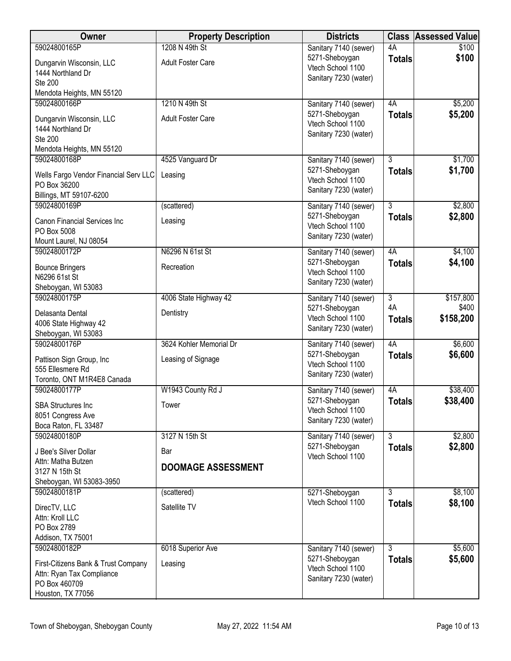| Sanitary 7140 (sewer)<br>4A<br>\$100<br>\$100<br>5271-Sheboygan<br><b>Totals</b><br><b>Adult Foster Care</b><br>Dungarvin Wisconsin, LLC<br>Vtech School 1100<br>1444 Northland Dr<br>Sanitary 7230 (water)<br><b>Ste 200</b><br>Mendota Heights, MN 55120<br>59024800166P<br>1210 N 49th St<br>\$5,200<br>4A<br>Sanitary 7140 (sewer)<br>\$5,200<br>5271-Sheboygan<br><b>Totals</b><br>Dungarvin Wisconsin, LLC<br><b>Adult Foster Care</b><br>Vtech School 1100<br>1444 Northland Dr<br>Sanitary 7230 (water)<br>Ste 200<br>Mendota Heights, MN 55120<br>\$1,700<br>59024800168P<br>4525 Vanguard Dr<br>3<br>Sanitary 7140 (sewer)<br>5271-Sheboygan<br>\$1,700<br><b>Totals</b><br>Wells Fargo Vendor Financial Serv LLC<br>Leasing<br>Vtech School 1100<br>PO Box 36200<br>Sanitary 7230 (water)<br>Billings, MT 59107-6200<br>59024800169P<br>$\overline{3}$<br>\$2,800<br>(scattered)<br>Sanitary 7140 (sewer)<br>\$2,800<br>5271-Sheboygan<br><b>Totals</b><br>Canon Financial Services Inc<br>Leasing<br>Vtech School 1100<br>PO Box 5008<br>Sanitary 7230 (water)<br>Mount Laurel, NJ 08054<br>\$4,100<br>59024800172P<br>N6296 N 61st St<br>4A<br>Sanitary 7140 (sewer)<br>5271-Sheboygan<br>\$4,100<br><b>Totals</b><br><b>Bounce Bringers</b><br>Recreation<br>Vtech School 1100<br>N6296 61st St<br>Sanitary 7230 (water)<br>Sheboygan, WI 53083<br>59024800175P<br>4006 State Highway 42<br>$\overline{3}$<br>\$157,800<br>Sanitary 7140 (sewer)<br>4A<br>\$400<br>5271-Sheboygan<br>Delasanta Dental<br>Dentistry<br>Vtech School 1100<br>\$158,200<br><b>Totals</b><br>4006 State Highway 42<br>Sanitary 7230 (water)<br>Sheboygan, WI 53083<br>59024800176P<br>3624 Kohler Memorial Dr<br>4A<br>\$6,600<br>Sanitary 7140 (sewer)<br>\$6,600<br>5271-Sheboygan<br><b>Totals</b><br>Pattison Sign Group, Inc<br>Leasing of Signage<br>Vtech School 1100<br>555 Ellesmere Rd<br>Sanitary 7230 (water)<br>Toronto, ONT M1R4E8 Canada<br>59024800177P<br>W1943 County Rd J<br>\$38,400<br>Sanitary 7140 (sewer)<br>4A<br>5271-Sheboygan<br>\$38,400<br><b>Totals</b><br>Tower<br><b>SBA Structures Inc</b><br>Vtech School 1100<br>8051 Congress Ave<br>Sanitary 7230 (water)<br>Boca Raton, FL 33487<br>$\overline{3}$<br>\$2,800<br>59024800180P<br>3127 N 15th St<br>Sanitary 7140 (sewer)<br>\$2,800<br>5271-Sheboygan<br><b>Totals</b><br>Bar<br>J Bee's Silver Dollar<br>Vtech School 1100<br>Attn: Matha Butzen<br><b>DOOMAGE ASSESSMENT</b><br>3127 N 15th St<br>Sheboygan, WI 53083-3950<br>59024800181P<br>$\overline{3}$<br>\$8,100<br>(scattered)<br>5271-Sheboygan<br>\$8,100<br>Vtech School 1100<br><b>Totals</b><br>Satellite TV<br>DirecTV, LLC | <b>Owner</b>    | <b>Property Description</b> | <b>Districts</b> | <b>Class</b> | <b>Assessed Value</b> |
|------------------------------------------------------------------------------------------------------------------------------------------------------------------------------------------------------------------------------------------------------------------------------------------------------------------------------------------------------------------------------------------------------------------------------------------------------------------------------------------------------------------------------------------------------------------------------------------------------------------------------------------------------------------------------------------------------------------------------------------------------------------------------------------------------------------------------------------------------------------------------------------------------------------------------------------------------------------------------------------------------------------------------------------------------------------------------------------------------------------------------------------------------------------------------------------------------------------------------------------------------------------------------------------------------------------------------------------------------------------------------------------------------------------------------------------------------------------------------------------------------------------------------------------------------------------------------------------------------------------------------------------------------------------------------------------------------------------------------------------------------------------------------------------------------------------------------------------------------------------------------------------------------------------------------------------------------------------------------------------------------------------------------------------------------------------------------------------------------------------------------------------------------------------------------------------------------------------------------------------------------------------------------------------------------------------------------------------------------------------------------------------------------------------------------------------------------------------------------------------------------------------------------------------------------------------------------------------------------------------------------------------------------------------------------|-----------------|-----------------------------|------------------|--------------|-----------------------|
|                                                                                                                                                                                                                                                                                                                                                                                                                                                                                                                                                                                                                                                                                                                                                                                                                                                                                                                                                                                                                                                                                                                                                                                                                                                                                                                                                                                                                                                                                                                                                                                                                                                                                                                                                                                                                                                                                                                                                                                                                                                                                                                                                                                                                                                                                                                                                                                                                                                                                                                                                                                                                                                                              | 59024800165P    | 1208 N 49th St              |                  |              |                       |
|                                                                                                                                                                                                                                                                                                                                                                                                                                                                                                                                                                                                                                                                                                                                                                                                                                                                                                                                                                                                                                                                                                                                                                                                                                                                                                                                                                                                                                                                                                                                                                                                                                                                                                                                                                                                                                                                                                                                                                                                                                                                                                                                                                                                                                                                                                                                                                                                                                                                                                                                                                                                                                                                              |                 |                             |                  |              |                       |
|                                                                                                                                                                                                                                                                                                                                                                                                                                                                                                                                                                                                                                                                                                                                                                                                                                                                                                                                                                                                                                                                                                                                                                                                                                                                                                                                                                                                                                                                                                                                                                                                                                                                                                                                                                                                                                                                                                                                                                                                                                                                                                                                                                                                                                                                                                                                                                                                                                                                                                                                                                                                                                                                              |                 |                             |                  |              |                       |
|                                                                                                                                                                                                                                                                                                                                                                                                                                                                                                                                                                                                                                                                                                                                                                                                                                                                                                                                                                                                                                                                                                                                                                                                                                                                                                                                                                                                                                                                                                                                                                                                                                                                                                                                                                                                                                                                                                                                                                                                                                                                                                                                                                                                                                                                                                                                                                                                                                                                                                                                                                                                                                                                              |                 |                             |                  |              |                       |
|                                                                                                                                                                                                                                                                                                                                                                                                                                                                                                                                                                                                                                                                                                                                                                                                                                                                                                                                                                                                                                                                                                                                                                                                                                                                                                                                                                                                                                                                                                                                                                                                                                                                                                                                                                                                                                                                                                                                                                                                                                                                                                                                                                                                                                                                                                                                                                                                                                                                                                                                                                                                                                                                              |                 |                             |                  |              |                       |
|                                                                                                                                                                                                                                                                                                                                                                                                                                                                                                                                                                                                                                                                                                                                                                                                                                                                                                                                                                                                                                                                                                                                                                                                                                                                                                                                                                                                                                                                                                                                                                                                                                                                                                                                                                                                                                                                                                                                                                                                                                                                                                                                                                                                                                                                                                                                                                                                                                                                                                                                                                                                                                                                              |                 |                             |                  |              |                       |
|                                                                                                                                                                                                                                                                                                                                                                                                                                                                                                                                                                                                                                                                                                                                                                                                                                                                                                                                                                                                                                                                                                                                                                                                                                                                                                                                                                                                                                                                                                                                                                                                                                                                                                                                                                                                                                                                                                                                                                                                                                                                                                                                                                                                                                                                                                                                                                                                                                                                                                                                                                                                                                                                              |                 |                             |                  |              |                       |
|                                                                                                                                                                                                                                                                                                                                                                                                                                                                                                                                                                                                                                                                                                                                                                                                                                                                                                                                                                                                                                                                                                                                                                                                                                                                                                                                                                                                                                                                                                                                                                                                                                                                                                                                                                                                                                                                                                                                                                                                                                                                                                                                                                                                                                                                                                                                                                                                                                                                                                                                                                                                                                                                              |                 |                             |                  |              |                       |
|                                                                                                                                                                                                                                                                                                                                                                                                                                                                                                                                                                                                                                                                                                                                                                                                                                                                                                                                                                                                                                                                                                                                                                                                                                                                                                                                                                                                                                                                                                                                                                                                                                                                                                                                                                                                                                                                                                                                                                                                                                                                                                                                                                                                                                                                                                                                                                                                                                                                                                                                                                                                                                                                              |                 |                             |                  |              |                       |
|                                                                                                                                                                                                                                                                                                                                                                                                                                                                                                                                                                                                                                                                                                                                                                                                                                                                                                                                                                                                                                                                                                                                                                                                                                                                                                                                                                                                                                                                                                                                                                                                                                                                                                                                                                                                                                                                                                                                                                                                                                                                                                                                                                                                                                                                                                                                                                                                                                                                                                                                                                                                                                                                              |                 |                             |                  |              |                       |
|                                                                                                                                                                                                                                                                                                                                                                                                                                                                                                                                                                                                                                                                                                                                                                                                                                                                                                                                                                                                                                                                                                                                                                                                                                                                                                                                                                                                                                                                                                                                                                                                                                                                                                                                                                                                                                                                                                                                                                                                                                                                                                                                                                                                                                                                                                                                                                                                                                                                                                                                                                                                                                                                              |                 |                             |                  |              |                       |
|                                                                                                                                                                                                                                                                                                                                                                                                                                                                                                                                                                                                                                                                                                                                                                                                                                                                                                                                                                                                                                                                                                                                                                                                                                                                                                                                                                                                                                                                                                                                                                                                                                                                                                                                                                                                                                                                                                                                                                                                                                                                                                                                                                                                                                                                                                                                                                                                                                                                                                                                                                                                                                                                              |                 |                             |                  |              |                       |
|                                                                                                                                                                                                                                                                                                                                                                                                                                                                                                                                                                                                                                                                                                                                                                                                                                                                                                                                                                                                                                                                                                                                                                                                                                                                                                                                                                                                                                                                                                                                                                                                                                                                                                                                                                                                                                                                                                                                                                                                                                                                                                                                                                                                                                                                                                                                                                                                                                                                                                                                                                                                                                                                              |                 |                             |                  |              |                       |
|                                                                                                                                                                                                                                                                                                                                                                                                                                                                                                                                                                                                                                                                                                                                                                                                                                                                                                                                                                                                                                                                                                                                                                                                                                                                                                                                                                                                                                                                                                                                                                                                                                                                                                                                                                                                                                                                                                                                                                                                                                                                                                                                                                                                                                                                                                                                                                                                                                                                                                                                                                                                                                                                              |                 |                             |                  |              |                       |
|                                                                                                                                                                                                                                                                                                                                                                                                                                                                                                                                                                                                                                                                                                                                                                                                                                                                                                                                                                                                                                                                                                                                                                                                                                                                                                                                                                                                                                                                                                                                                                                                                                                                                                                                                                                                                                                                                                                                                                                                                                                                                                                                                                                                                                                                                                                                                                                                                                                                                                                                                                                                                                                                              |                 |                             |                  |              |                       |
|                                                                                                                                                                                                                                                                                                                                                                                                                                                                                                                                                                                                                                                                                                                                                                                                                                                                                                                                                                                                                                                                                                                                                                                                                                                                                                                                                                                                                                                                                                                                                                                                                                                                                                                                                                                                                                                                                                                                                                                                                                                                                                                                                                                                                                                                                                                                                                                                                                                                                                                                                                                                                                                                              |                 |                             |                  |              |                       |
|                                                                                                                                                                                                                                                                                                                                                                                                                                                                                                                                                                                                                                                                                                                                                                                                                                                                                                                                                                                                                                                                                                                                                                                                                                                                                                                                                                                                                                                                                                                                                                                                                                                                                                                                                                                                                                                                                                                                                                                                                                                                                                                                                                                                                                                                                                                                                                                                                                                                                                                                                                                                                                                                              |                 |                             |                  |              |                       |
|                                                                                                                                                                                                                                                                                                                                                                                                                                                                                                                                                                                                                                                                                                                                                                                                                                                                                                                                                                                                                                                                                                                                                                                                                                                                                                                                                                                                                                                                                                                                                                                                                                                                                                                                                                                                                                                                                                                                                                                                                                                                                                                                                                                                                                                                                                                                                                                                                                                                                                                                                                                                                                                                              |                 |                             |                  |              |                       |
|                                                                                                                                                                                                                                                                                                                                                                                                                                                                                                                                                                                                                                                                                                                                                                                                                                                                                                                                                                                                                                                                                                                                                                                                                                                                                                                                                                                                                                                                                                                                                                                                                                                                                                                                                                                                                                                                                                                                                                                                                                                                                                                                                                                                                                                                                                                                                                                                                                                                                                                                                                                                                                                                              |                 |                             |                  |              |                       |
|                                                                                                                                                                                                                                                                                                                                                                                                                                                                                                                                                                                                                                                                                                                                                                                                                                                                                                                                                                                                                                                                                                                                                                                                                                                                                                                                                                                                                                                                                                                                                                                                                                                                                                                                                                                                                                                                                                                                                                                                                                                                                                                                                                                                                                                                                                                                                                                                                                                                                                                                                                                                                                                                              |                 |                             |                  |              |                       |
|                                                                                                                                                                                                                                                                                                                                                                                                                                                                                                                                                                                                                                                                                                                                                                                                                                                                                                                                                                                                                                                                                                                                                                                                                                                                                                                                                                                                                                                                                                                                                                                                                                                                                                                                                                                                                                                                                                                                                                                                                                                                                                                                                                                                                                                                                                                                                                                                                                                                                                                                                                                                                                                                              |                 |                             |                  |              |                       |
|                                                                                                                                                                                                                                                                                                                                                                                                                                                                                                                                                                                                                                                                                                                                                                                                                                                                                                                                                                                                                                                                                                                                                                                                                                                                                                                                                                                                                                                                                                                                                                                                                                                                                                                                                                                                                                                                                                                                                                                                                                                                                                                                                                                                                                                                                                                                                                                                                                                                                                                                                                                                                                                                              |                 |                             |                  |              |                       |
|                                                                                                                                                                                                                                                                                                                                                                                                                                                                                                                                                                                                                                                                                                                                                                                                                                                                                                                                                                                                                                                                                                                                                                                                                                                                                                                                                                                                                                                                                                                                                                                                                                                                                                                                                                                                                                                                                                                                                                                                                                                                                                                                                                                                                                                                                                                                                                                                                                                                                                                                                                                                                                                                              |                 |                             |                  |              |                       |
|                                                                                                                                                                                                                                                                                                                                                                                                                                                                                                                                                                                                                                                                                                                                                                                                                                                                                                                                                                                                                                                                                                                                                                                                                                                                                                                                                                                                                                                                                                                                                                                                                                                                                                                                                                                                                                                                                                                                                                                                                                                                                                                                                                                                                                                                                                                                                                                                                                                                                                                                                                                                                                                                              |                 |                             |                  |              |                       |
|                                                                                                                                                                                                                                                                                                                                                                                                                                                                                                                                                                                                                                                                                                                                                                                                                                                                                                                                                                                                                                                                                                                                                                                                                                                                                                                                                                                                                                                                                                                                                                                                                                                                                                                                                                                                                                                                                                                                                                                                                                                                                                                                                                                                                                                                                                                                                                                                                                                                                                                                                                                                                                                                              |                 |                             |                  |              |                       |
|                                                                                                                                                                                                                                                                                                                                                                                                                                                                                                                                                                                                                                                                                                                                                                                                                                                                                                                                                                                                                                                                                                                                                                                                                                                                                                                                                                                                                                                                                                                                                                                                                                                                                                                                                                                                                                                                                                                                                                                                                                                                                                                                                                                                                                                                                                                                                                                                                                                                                                                                                                                                                                                                              |                 |                             |                  |              |                       |
|                                                                                                                                                                                                                                                                                                                                                                                                                                                                                                                                                                                                                                                                                                                                                                                                                                                                                                                                                                                                                                                                                                                                                                                                                                                                                                                                                                                                                                                                                                                                                                                                                                                                                                                                                                                                                                                                                                                                                                                                                                                                                                                                                                                                                                                                                                                                                                                                                                                                                                                                                                                                                                                                              |                 |                             |                  |              |                       |
|                                                                                                                                                                                                                                                                                                                                                                                                                                                                                                                                                                                                                                                                                                                                                                                                                                                                                                                                                                                                                                                                                                                                                                                                                                                                                                                                                                                                                                                                                                                                                                                                                                                                                                                                                                                                                                                                                                                                                                                                                                                                                                                                                                                                                                                                                                                                                                                                                                                                                                                                                                                                                                                                              |                 |                             |                  |              |                       |
|                                                                                                                                                                                                                                                                                                                                                                                                                                                                                                                                                                                                                                                                                                                                                                                                                                                                                                                                                                                                                                                                                                                                                                                                                                                                                                                                                                                                                                                                                                                                                                                                                                                                                                                                                                                                                                                                                                                                                                                                                                                                                                                                                                                                                                                                                                                                                                                                                                                                                                                                                                                                                                                                              |                 |                             |                  |              |                       |
|                                                                                                                                                                                                                                                                                                                                                                                                                                                                                                                                                                                                                                                                                                                                                                                                                                                                                                                                                                                                                                                                                                                                                                                                                                                                                                                                                                                                                                                                                                                                                                                                                                                                                                                                                                                                                                                                                                                                                                                                                                                                                                                                                                                                                                                                                                                                                                                                                                                                                                                                                                                                                                                                              |                 |                             |                  |              |                       |
|                                                                                                                                                                                                                                                                                                                                                                                                                                                                                                                                                                                                                                                                                                                                                                                                                                                                                                                                                                                                                                                                                                                                                                                                                                                                                                                                                                                                                                                                                                                                                                                                                                                                                                                                                                                                                                                                                                                                                                                                                                                                                                                                                                                                                                                                                                                                                                                                                                                                                                                                                                                                                                                                              |                 |                             |                  |              |                       |
|                                                                                                                                                                                                                                                                                                                                                                                                                                                                                                                                                                                                                                                                                                                                                                                                                                                                                                                                                                                                                                                                                                                                                                                                                                                                                                                                                                                                                                                                                                                                                                                                                                                                                                                                                                                                                                                                                                                                                                                                                                                                                                                                                                                                                                                                                                                                                                                                                                                                                                                                                                                                                                                                              |                 |                             |                  |              |                       |
|                                                                                                                                                                                                                                                                                                                                                                                                                                                                                                                                                                                                                                                                                                                                                                                                                                                                                                                                                                                                                                                                                                                                                                                                                                                                                                                                                                                                                                                                                                                                                                                                                                                                                                                                                                                                                                                                                                                                                                                                                                                                                                                                                                                                                                                                                                                                                                                                                                                                                                                                                                                                                                                                              |                 |                             |                  |              |                       |
|                                                                                                                                                                                                                                                                                                                                                                                                                                                                                                                                                                                                                                                                                                                                                                                                                                                                                                                                                                                                                                                                                                                                                                                                                                                                                                                                                                                                                                                                                                                                                                                                                                                                                                                                                                                                                                                                                                                                                                                                                                                                                                                                                                                                                                                                                                                                                                                                                                                                                                                                                                                                                                                                              |                 |                             |                  |              |                       |
|                                                                                                                                                                                                                                                                                                                                                                                                                                                                                                                                                                                                                                                                                                                                                                                                                                                                                                                                                                                                                                                                                                                                                                                                                                                                                                                                                                                                                                                                                                                                                                                                                                                                                                                                                                                                                                                                                                                                                                                                                                                                                                                                                                                                                                                                                                                                                                                                                                                                                                                                                                                                                                                                              |                 |                             |                  |              |                       |
|                                                                                                                                                                                                                                                                                                                                                                                                                                                                                                                                                                                                                                                                                                                                                                                                                                                                                                                                                                                                                                                                                                                                                                                                                                                                                                                                                                                                                                                                                                                                                                                                                                                                                                                                                                                                                                                                                                                                                                                                                                                                                                                                                                                                                                                                                                                                                                                                                                                                                                                                                                                                                                                                              |                 |                             |                  |              |                       |
|                                                                                                                                                                                                                                                                                                                                                                                                                                                                                                                                                                                                                                                                                                                                                                                                                                                                                                                                                                                                                                                                                                                                                                                                                                                                                                                                                                                                                                                                                                                                                                                                                                                                                                                                                                                                                                                                                                                                                                                                                                                                                                                                                                                                                                                                                                                                                                                                                                                                                                                                                                                                                                                                              |                 |                             |                  |              |                       |
|                                                                                                                                                                                                                                                                                                                                                                                                                                                                                                                                                                                                                                                                                                                                                                                                                                                                                                                                                                                                                                                                                                                                                                                                                                                                                                                                                                                                                                                                                                                                                                                                                                                                                                                                                                                                                                                                                                                                                                                                                                                                                                                                                                                                                                                                                                                                                                                                                                                                                                                                                                                                                                                                              |                 |                             |                  |              |                       |
|                                                                                                                                                                                                                                                                                                                                                                                                                                                                                                                                                                                                                                                                                                                                                                                                                                                                                                                                                                                                                                                                                                                                                                                                                                                                                                                                                                                                                                                                                                                                                                                                                                                                                                                                                                                                                                                                                                                                                                                                                                                                                                                                                                                                                                                                                                                                                                                                                                                                                                                                                                                                                                                                              |                 |                             |                  |              |                       |
|                                                                                                                                                                                                                                                                                                                                                                                                                                                                                                                                                                                                                                                                                                                                                                                                                                                                                                                                                                                                                                                                                                                                                                                                                                                                                                                                                                                                                                                                                                                                                                                                                                                                                                                                                                                                                                                                                                                                                                                                                                                                                                                                                                                                                                                                                                                                                                                                                                                                                                                                                                                                                                                                              |                 |                             |                  |              |                       |
|                                                                                                                                                                                                                                                                                                                                                                                                                                                                                                                                                                                                                                                                                                                                                                                                                                                                                                                                                                                                                                                                                                                                                                                                                                                                                                                                                                                                                                                                                                                                                                                                                                                                                                                                                                                                                                                                                                                                                                                                                                                                                                                                                                                                                                                                                                                                                                                                                                                                                                                                                                                                                                                                              | Attn: Kroll LLC |                             |                  |              |                       |
| PO Box 2789<br>Addison, TX 75001                                                                                                                                                                                                                                                                                                                                                                                                                                                                                                                                                                                                                                                                                                                                                                                                                                                                                                                                                                                                                                                                                                                                                                                                                                                                                                                                                                                                                                                                                                                                                                                                                                                                                                                                                                                                                                                                                                                                                                                                                                                                                                                                                                                                                                                                                                                                                                                                                                                                                                                                                                                                                                             |                 |                             |                  |              |                       |
| $\overline{3}$<br>\$5,600<br>59024800182P<br>6018 Superior Ave<br>Sanitary 7140 (sewer)                                                                                                                                                                                                                                                                                                                                                                                                                                                                                                                                                                                                                                                                                                                                                                                                                                                                                                                                                                                                                                                                                                                                                                                                                                                                                                                                                                                                                                                                                                                                                                                                                                                                                                                                                                                                                                                                                                                                                                                                                                                                                                                                                                                                                                                                                                                                                                                                                                                                                                                                                                                      |                 |                             |                  |              |                       |
| \$5,600<br>5271-Sheboygan<br><b>Totals</b>                                                                                                                                                                                                                                                                                                                                                                                                                                                                                                                                                                                                                                                                                                                                                                                                                                                                                                                                                                                                                                                                                                                                                                                                                                                                                                                                                                                                                                                                                                                                                                                                                                                                                                                                                                                                                                                                                                                                                                                                                                                                                                                                                                                                                                                                                                                                                                                                                                                                                                                                                                                                                                   |                 |                             |                  |              |                       |
| Leasing<br>First-Citizens Bank & Trust Company<br>Vtech School 1100                                                                                                                                                                                                                                                                                                                                                                                                                                                                                                                                                                                                                                                                                                                                                                                                                                                                                                                                                                                                                                                                                                                                                                                                                                                                                                                                                                                                                                                                                                                                                                                                                                                                                                                                                                                                                                                                                                                                                                                                                                                                                                                                                                                                                                                                                                                                                                                                                                                                                                                                                                                                          |                 |                             |                  |              |                       |
| Attn: Ryan Tax Compliance<br>Sanitary 7230 (water)<br>PO Box 460709                                                                                                                                                                                                                                                                                                                                                                                                                                                                                                                                                                                                                                                                                                                                                                                                                                                                                                                                                                                                                                                                                                                                                                                                                                                                                                                                                                                                                                                                                                                                                                                                                                                                                                                                                                                                                                                                                                                                                                                                                                                                                                                                                                                                                                                                                                                                                                                                                                                                                                                                                                                                          |                 |                             |                  |              |                       |
| Houston, TX 77056                                                                                                                                                                                                                                                                                                                                                                                                                                                                                                                                                                                                                                                                                                                                                                                                                                                                                                                                                                                                                                                                                                                                                                                                                                                                                                                                                                                                                                                                                                                                                                                                                                                                                                                                                                                                                                                                                                                                                                                                                                                                                                                                                                                                                                                                                                                                                                                                                                                                                                                                                                                                                                                            |                 |                             |                  |              |                       |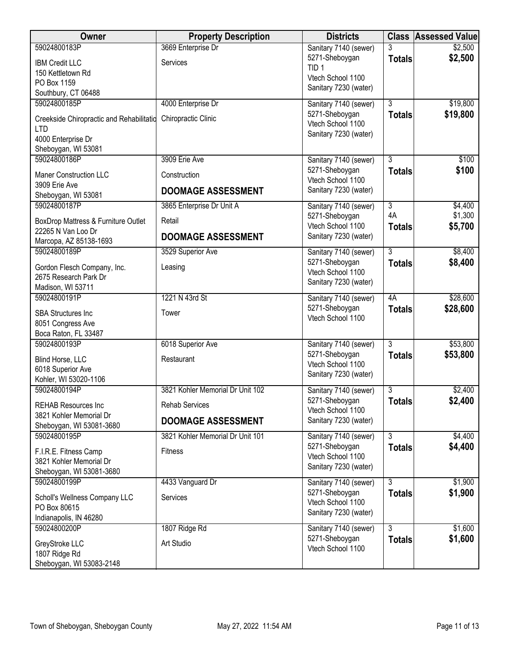| Owner                                         | <b>Property Description</b>      | <b>Districts</b>                           |                     | <b>Class Assessed Value</b> |
|-----------------------------------------------|----------------------------------|--------------------------------------------|---------------------|-----------------------------|
| 59024800183P                                  | 3669 Enterprise Dr               | Sanitary 7140 (sewer)                      | 3                   | \$2,500                     |
| <b>IBM Credit LLC</b>                         | Services                         | 5271-Sheboygan<br>TID <sub>1</sub>         | <b>Totals</b>       | \$2,500                     |
| 150 Kettletown Rd                             |                                  | Vtech School 1100                          |                     |                             |
| PO Box 1159                                   |                                  | Sanitary 7230 (water)                      |                     |                             |
| Southbury, CT 06488<br>59024800185P           | 4000 Enterprise Dr               | Sanitary 7140 (sewer)                      | $\overline{3}$      | \$19,800                    |
|                                               |                                  | 5271-Sheboygan                             | <b>Totals</b>       | \$19,800                    |
| Creekside Chiropractic and Rehabilitatio      | Chiropractic Clinic              | Vtech School 1100                          |                     |                             |
| LTD.<br>4000 Enterprise Dr                    |                                  | Sanitary 7230 (water)                      |                     |                             |
| Sheboygan, WI 53081                           |                                  |                                            |                     |                             |
| 59024800186P                                  | 3909 Erie Ave                    | Sanitary 7140 (sewer)                      | $\overline{3}$      | \$100                       |
| <b>Maner Construction LLC</b>                 | Construction                     | 5271-Sheboygan                             | <b>Totals</b>       | \$100                       |
| 3909 Erie Ave                                 |                                  | Vtech School 1100                          |                     |                             |
| Sheboygan, WI 53081                           | <b>DOOMAGE ASSESSMENT</b>        | Sanitary 7230 (water)                      |                     |                             |
| 59024800187P                                  | 3865 Enterprise Dr Unit A        | Sanitary 7140 (sewer)                      | $\overline{3}$      | \$4,400                     |
| BoxDrop Mattress & Furniture Outlet           | Retail                           | 5271-Sheboygan                             | 4A                  | \$1,300                     |
| 22265 N Van Loo Dr                            | <b>DOOMAGE ASSESSMENT</b>        | Vtech School 1100<br>Sanitary 7230 (water) | <b>Totals</b>       | \$5,700                     |
| Marcopa, AZ 85138-1693                        |                                  |                                            |                     |                             |
| 59024800189P                                  | 3529 Superior Ave                | Sanitary 7140 (sewer)                      | $\overline{3}$      | \$8,400                     |
| Gordon Flesch Company, Inc.                   | Leasing                          | 5271-Sheboygan<br>Vtech School 1100        | <b>Totals</b>       | \$8,400                     |
| 2675 Research Park Dr                         |                                  | Sanitary 7230 (water)                      |                     |                             |
| Madison, WI 53711                             |                                  |                                            |                     |                             |
| 59024800191P                                  | 1221 N 43rd St                   | Sanitary 7140 (sewer)<br>5271-Sheboygan    | 4A<br><b>Totals</b> | \$28,600<br>\$28,600        |
| <b>SBA Structures Inc</b>                     | Tower                            | Vtech School 1100                          |                     |                             |
| 8051 Congress Ave                             |                                  |                                            |                     |                             |
| Boca Raton, FL 33487<br>59024800193P          | 6018 Superior Ave                | Sanitary 7140 (sewer)                      | $\overline{3}$      | \$53,800                    |
|                                               |                                  | 5271-Sheboygan                             | <b>Totals</b>       | \$53,800                    |
| Blind Horse, LLC<br>6018 Superior Ave         | Restaurant                       | Vtech School 1100                          |                     |                             |
| Kohler, WI 53020-1106                         |                                  | Sanitary 7230 (water)                      |                     |                             |
| 59024800194P                                  | 3821 Kohler Memorial Dr Unit 102 | Sanitary 7140 (sewer)                      | 3                   | \$2,400                     |
| <b>REHAB Resources Inc</b>                    | <b>Rehab Services</b>            | 5271-Sheboygan                             | <b>Totals</b>       | \$2,400                     |
| 3821 Kohler Memorial Dr                       |                                  | Vtech School 1100<br>Sanitary 7230 (water) |                     |                             |
| Sheboygan, WI 53081-3680                      | <b>DOOMAGE ASSESSMENT</b>        |                                            |                     |                             |
| 59024800195P                                  | 3821 Kohler Memorial Dr Unit 101 | Sanitary 7140 (sewer)<br>5271-Sheboygan    | $\overline{3}$      | \$4,400<br>\$4,400          |
| F.I.R.E. Fitness Camp                         | <b>Fitness</b>                   | Vtech School 1100                          | <b>Totals</b>       |                             |
| 3821 Kohler Memorial Dr                       |                                  | Sanitary 7230 (water)                      |                     |                             |
| Sheboygan, WI 53081-3680<br>59024800199P      | 4433 Vanguard Dr                 | Sanitary 7140 (sewer)                      | 3                   | \$1,900                     |
|                                               |                                  | 5271-Sheboygan                             | <b>Totals</b>       | \$1,900                     |
| Scholl's Wellness Company LLC<br>PO Box 80615 | Services                         | Vtech School 1100                          |                     |                             |
| Indianapolis, IN 46280                        |                                  | Sanitary 7230 (water)                      |                     |                             |
| 59024800200P                                  | 1807 Ridge Rd                    | Sanitary 7140 (sewer)                      | $\overline{3}$      | \$1,600                     |
| GreyStroke LLC                                | Art Studio                       | 5271-Sheboygan                             | <b>Totals</b>       | \$1,600                     |
| 1807 Ridge Rd                                 |                                  | Vtech School 1100                          |                     |                             |
| Sheboygan, WI 53083-2148                      |                                  |                                            |                     |                             |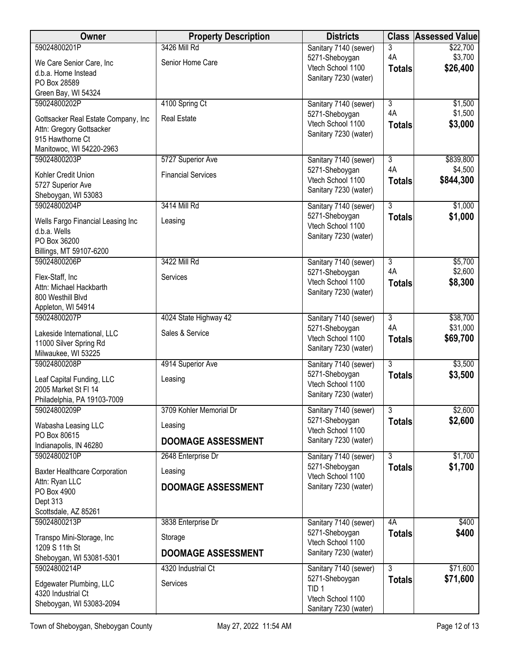| Owner                                        | <b>Property Description</b> | <b>Districts</b>                           |                           | <b>Class Assessed Value</b> |
|----------------------------------------------|-----------------------------|--------------------------------------------|---------------------------|-----------------------------|
| 59024800201P                                 | 3426 Mill Rd                | Sanitary 7140 (sewer)                      | 3                         | \$22,700                    |
| We Care Senior Care, Inc.                    | Senior Home Care            | 5271-Sheboygan<br>Vtech School 1100        | 4A                        | \$3,700<br>\$26,400         |
| d.b.a. Home Instead                          |                             | Sanitary 7230 (water)                      | <b>Totals</b>             |                             |
| PO Box 28589                                 |                             |                                            |                           |                             |
| Green Bay, WI 54324<br>59024800202P          | 4100 Spring Ct              | Sanitary 7140 (sewer)                      | $\overline{3}$            | \$1,500                     |
|                                              |                             | 5271-Sheboygan                             | 4A                        | \$1,500                     |
| Gottsacker Real Estate Company, Inc          | <b>Real Estate</b>          | Vtech School 1100                          | <b>Totals</b>             | \$3,000                     |
| Attn: Gregory Gottsacker<br>915 Hawthorne Ct |                             | Sanitary 7230 (water)                      |                           |                             |
| Manitowoc, WI 54220-2963                     |                             |                                            |                           |                             |
| 59024800203P                                 | 5727 Superior Ave           | Sanitary 7140 (sewer)                      | $\overline{\overline{3}}$ | \$839,800                   |
| Kohler Credit Union                          | <b>Financial Services</b>   | 5271-Sheboygan                             | 4A                        | \$4,500                     |
| 5727 Superior Ave                            |                             | Vtech School 1100                          | <b>Totals</b>             | \$844,300                   |
| Sheboygan, WI 53083                          |                             | Sanitary 7230 (water)                      |                           |                             |
| 59024800204P                                 | 3414 Mill Rd                | Sanitary 7140 (sewer)                      | $\overline{3}$            | \$1,000                     |
| Wells Fargo Financial Leasing Inc            | Leasing                     | 5271-Sheboygan                             | <b>Totals</b>             | \$1,000                     |
| d.b.a. Wells                                 |                             | Vtech School 1100<br>Sanitary 7230 (water) |                           |                             |
| PO Box 36200                                 |                             |                                            |                           |                             |
| Billings, MT 59107-6200                      |                             |                                            |                           |                             |
| 59024800206P                                 | 3422 Mill Rd                | Sanitary 7140 (sewer)<br>5271-Sheboygan    | $\overline{3}$<br>4A      | \$5,700<br>\$2,600          |
| Flex-Staff, Inc                              | Services                    | Vtech School 1100                          | <b>Totals</b>             | \$8,300                     |
| Attn: Michael Hackbarth                      |                             | Sanitary 7230 (water)                      |                           |                             |
| 800 Westhill Blvd<br>Appleton, WI 54914      |                             |                                            |                           |                             |
| 59024800207P                                 | 4024 State Highway 42       | Sanitary 7140 (sewer)                      | $\overline{3}$            | \$38,700                    |
| Lakeside International, LLC                  | Sales & Service             | 5271-Sheboygan                             | 4A                        | \$31,000                    |
| 11000 Silver Spring Rd                       |                             | Vtech School 1100                          | <b>Totals</b>             | \$69,700                    |
| Milwaukee, WI 53225                          |                             | Sanitary 7230 (water)                      |                           |                             |
| 59024800208P                                 | 4914 Superior Ave           | Sanitary 7140 (sewer)                      | $\overline{3}$            | \$3,500                     |
| Leaf Capital Funding, LLC                    | Leasing                     | 5271-Sheboygan                             | <b>Totals</b>             | \$3,500                     |
| 2005 Market St FI 14                         |                             | Vtech School 1100<br>Sanitary 7230 (water) |                           |                             |
| Philadelphia, PA 19103-7009                  |                             |                                            |                           |                             |
| 59024800209P                                 | 3709 Kohler Memorial Dr     | Sanitary 7140 (sewer)                      | $\overline{3}$            | \$2,600                     |
| Wabasha Leasing LLC                          | Leasing                     | 5271-Sheboygan<br>Vtech School 1100        | <b>Totals</b>             | \$2,600                     |
| PO Box 80615                                 | <b>DOOMAGE ASSESSMENT</b>   | Sanitary 7230 (water)                      |                           |                             |
| Indianapolis, IN 46280<br>59024800210P       | 2648 Enterprise Dr          |                                            | $\overline{3}$            | \$1,700                     |
|                                              |                             | Sanitary 7140 (sewer)<br>5271-Sheboygan    | <b>Totals</b>             | \$1,700                     |
| <b>Baxter Healthcare Corporation</b>         | Leasing                     | Vtech School 1100                          |                           |                             |
| Attn: Ryan LLC<br>PO Box 4900                | <b>DOOMAGE ASSESSMENT</b>   | Sanitary 7230 (water)                      |                           |                             |
| Dept 313                                     |                             |                                            |                           |                             |
| Scottsdale, AZ 85261                         |                             |                                            |                           |                             |
| 59024800213P                                 | 3838 Enterprise Dr          | Sanitary 7140 (sewer)                      | 4A                        | \$400                       |
| Transpo Mini-Storage, Inc                    | Storage                     | 5271-Sheboygan                             | <b>Totals</b>             | \$400                       |
| 1209 S 11th St                               | <b>DOOMAGE ASSESSMENT</b>   | Vtech School 1100<br>Sanitary 7230 (water) |                           |                             |
| Sheboygan, WI 53081-5301                     |                             |                                            |                           |                             |
| 59024800214P                                 | 4320 Industrial Ct          | Sanitary 7140 (sewer)<br>5271-Sheboygan    | $\overline{3}$            | \$71,600                    |
| Edgewater Plumbing, LLC                      | Services                    | TID <sub>1</sub>                           | <b>Totals</b>             | \$71,600                    |
| 4320 Industrial Ct                           |                             | Vtech School 1100                          |                           |                             |
| Sheboygan, WI 53083-2094                     |                             | Sanitary 7230 (water)                      |                           |                             |